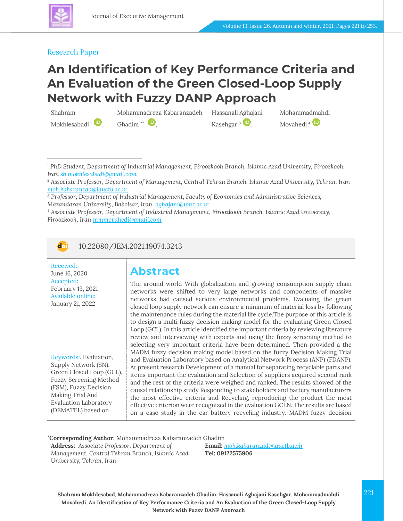

### Research Paper

## **An Identification of Key Performance Criteria and An Evaluation of the Green Closed-Loop Supply Network with Fuzzy DANP Approach**

Shahram

Mokhlesabadi  $\mathbf{u}$ ,

Mohammadreza Kabaranzadeh Hassanali Aghajani Ghadim  $*2$   $\blacksquare$ [,](https://www.orcid.org/0000-0002-4372-5226)

Kasehgar  $3 \cup$ [,](https://www.orcid.org/0000-0003-3993-345X)

Mohammadmahdi Movahedi<sup>4</sup>

<sup>1</sup> *PhD Student, Department of Industrial Management, Firoozkooh Branch, Islamic Azad University, Firoozkooh, Iran [sh.mokhlesabadi@gmail.com](mailto:sh.mokhlesabadi@gmail.com)*

<sup>2</sup> *Associate Professor, Department of Management, Central Tehran Branch, Islamic Azad University, Tehran, Iran [moh.kabaranzad@iauctb.ac.ir](mailto:moh.kabaranzad@iauctb.ac.ir)*

<sup>3</sup> *Professor, Department of Industrial Management, Faculty of Economics and Administrative Sciences, Mazandaran University, Babolsar, Iran [aghajani@umz.ac.ir](mailto:aghajani@umz.ac.ir)*

<sup>4</sup> *Associate Professor, Department of Industrial Management, Firoozkooh Branch, Islamic Azad University, Firoozkooh, Iran [mmmovahedi@gmail.com](mailto:mmmovahedi@gmail.com)*



10.22080/JEM.2021.19074.3243

Received: June 16, 2020 Accepted: February 13, 2021 Available online: January 21, 2022

Keywords:. Evaluation, Supply Network (SN), Green Closed Loop (GCL), Fuzzy Screening Method (FSM), Fuzzy Decision Making Trial And Evaluation Laboratory (DEMATEL) based on

## **Abstract**

The around world With globalization and growing consumption supply chain networks were shifted to very large networks and components of massive networks had caused serious environmental problems. Evaluaing the green closed loop supply network can ensure a minimum of material loss by following the maintenance rules during the material life cycle.The purpose of this article is to design a multi fuzzy decision making model for the evaluating Green Closed Loop (GCL). In this article identified the important criteria by reviewing literature review and interviewing with experts and using the fuzzy screening method to selecting very important criteria have been determined. Then provided a the MADM fuzzy decision making model based on the fuzzy Decision Making Trial and Evaluation Laboratory based on Analytical Network Process (ANP) (FDANP). At present research Development of a manual for separating recyclable parts and items important the evaluation and Selection of suppliers acquired second rank and the rest of the criteria were weighed and ranked. The results showed of the causal relationship study Responding to stakeholders and battery manufacturers the most effective criteria and Recycling, reproducing the product the most effective criterion were recognized in the evaluation GCLN. The results are based on a case study in the car battery recycling industry. MADM fuzzy decision

**\*Corresponding Author:** Mohammadreza Kabaranzadeh Ghadim

**Address:** *Associate Professor, Department of Management, Central Tehran Branch, Islamic Azad University, Tehran, Iran*

**Email:** *[moh.kabaranzad@iauctb.ac.ir](mailto:moh.kabaranzad@iauctb.ac.ir)* **Tel: 09122575906**

**Shahram Mokhlesabad, Mohammadreza Kabaranzadeh Ghadim, Hassanali Aghajani Kasehgar, Mohammadmahdi** 221 **Movahedi. An Identification of Key Performance Criteria and An Evaluation of the Green Closed-Loop Supply Network with Fuzzy DANP Approach**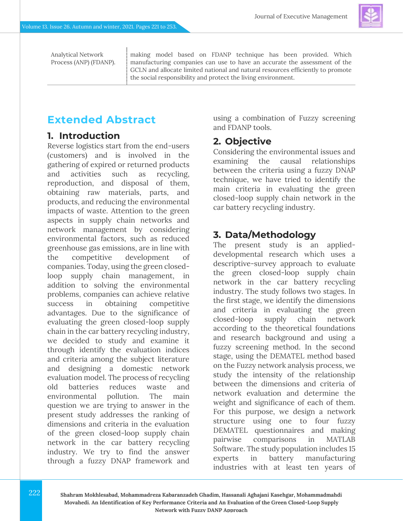Analytical Network Process (ANP) (FDANP). making model based on FDANP technique has been provided. Which manufacturing companies can use to have an accurate the assessment of the GCLN and allocate limited national and natural resources efficiently to promote the social responsibility and protect the living environment.

## **Extended Abstract**

## **1. Introduction**

Reverse logistics start from the end-users (customers) and is involved in the gathering of expired or returned products and activities such as recycling, reproduction, and disposal of them, obtaining raw materials, parts, and products, and reducing the environmental impacts of waste. Attention to the green aspects in supply chain networks and network management by considering environmental factors, such as reduced greenhouse gas emissions, are in line with the competitive development of companies. Today, using the green closedloop supply chain management, in addition to solving the environmental problems, companies can achieve relative success in obtaining competitive advantages. Due to the significance of evaluating the green closed-loop supply chain in the car battery recycling industry, we decided to study and examine it through identify the evaluation indices and criteria among the subject literature and designing a domestic network evaluation model. The process of recycling old batteries reduces waste and environmental pollution. The main question we are trying to answer in the present study addresses the ranking of dimensions and criteria in the evaluation of the green closed-loop supply chain network in the car battery recycling industry. We try to find the answer through a fuzzy DNAP framework and

using a combination of Fuzzy screening and FDANP tools.

## **2. Objective**

Considering the environmental issues and examining the causal relationships between the criteria using a fuzzy DNAP technique, we have tried to identify the main criteria in evaluating the green closed-loop supply chain network in the car battery recycling industry.

## **3. Data/Methodology**

The present study is an applieddevelopmental research which uses a descriptive-survey approach to evaluate the green closed-loop supply chain network in the car battery recycling industry. The study follows two stages. In the first stage, we identify the dimensions and criteria in evaluating the green closed-loop supply chain network according to the theoretical foundations and research background and using a fuzzy screening method. In the second stage, using the DEMATEL method based on the Fuzzy network analysis process, we study the intensity of the relationship between the dimensions and criteria of network evaluation and determine the weight and significance of each of them. For this purpose, we design a network structure using one to four fuzzy DEMATEL questionnaires and making pairwise comparisons in MATLAB Software. The study population includes 15 experts in battery manufacturing industries with at least ten years of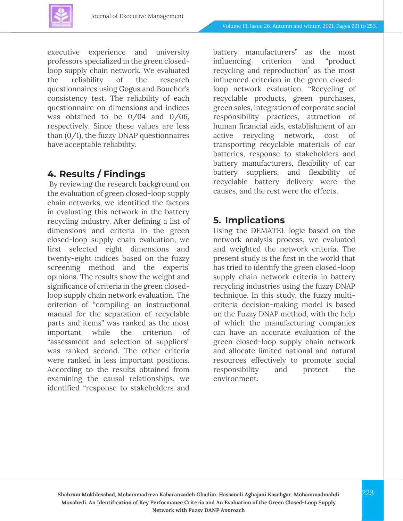

executive experience and university professors specialized in the green closedloop supply chain network. We evaluated the reliability of the research questionnaires using Gogus and Boucher's consistency test. The reliability of each questionnaire on dimensions and indices was obtained to be 0/04 and 0/06, respectively. Since these values are less than  $(0/1)$ , the fuzzy DNAP questionnaires have acceptable reliability.

### **4. Results / Findings**

By reviewing the research background on the evaluation of green closed-loop supply chain networks, we identified the factors in evaluating this network in the battery recycling industry. After defining a list of dimensions and criteria in the green closed-loop supply chain evaluation, we first selected eight dimensions and twenty-eight indices based on the fuzzy screening method and the experts' opinions. The results show the weight and significance of criteria in the green closedloop supply chain network evaluation. The criterion of "compiling an instructional manual for the separation of recyclable parts and items" was ranked as the most important while the criterion of "assessment and selection of suppliers" was ranked second. The other criteria were ranked in less important positions. According to the results obtained from examining the causal relationships, we identified "response to stakeholders and

battery manufacturers" as the most influencing criterion and "product recycling and reproduction" as the most influenced criterion in the green closedloop network evaluation. "Recycling of recyclable products, green purchases, green sales, integration of corporate social responsibility practices, attraction of human financial aids, establishment of an active recycling network, cost of transporting recyclable materials of car batteries, response to stakeholders and battery manufacturers, flexibility of car battery suppliers, and flexibility of recyclable battery delivery were the causes, and the rest were the effects.

## **5. Implications**

Using the DEMATEL logic based on the network analysis process, we evaluated and weighted the network criteria. The present study is the first in the world that has tried to identify the green closed-loop supply chain network criteria in battery recycling industries using the fuzzy DNAP technique. In this study, the fuzzy multicriteria decision-making model is based on the Fuzzy DNAP method, with the help of which the manufacturing companies can have an accurate evaluation of the green closed-loop supply chain network and allocate limited national and natural resources effectively to promote social responsibility and protect the environment.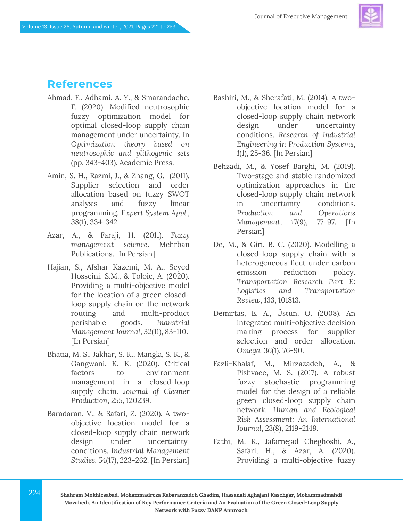

## **References**

- Ahmad, F., Adhami, A. Y., & Smarandache, F. (2020). Modified neutrosophic fuzzy optimization model for optimal closed-loop supply chain management under uncertainty. In *Optimization theory based on neutrosophic and plithogenic sets* (pp. 343-403). Academic Press.
- Amin, S. H., Razmi, J., & Zhang, G. (2011). Supplier selection and order allocation based on fuzzy SWOT analysis and fuzzy linear programming. *Expert System Appl., 38*(1), 334-342.
- Azar, A., & Faraji, H. (2011). *Fuzzy management science*. Mehrban Publications. [In Persian]
- Hajian, S., Afshar Kazemi, M. A., Seyed Hosseini, S.M., & Toloie, A. (2020). Providing a multi-objective model for the location of a green closedloop supply chain on the network routing and multi-product perishable goods. *Industrial Management Journal*, *32*(11), 83-110. [In Persian]
- Bhatia, M. S., Jakhar, S. K., Mangla, S. K., & Gangwani, K. K. (2020). Critical factors to environment management in a closed-loop supply chain. *Journal of Cleaner Production*, *255*, 120239.
- Baradaran, V., & Safari, Z. (2020). A twoobjective location model for a closed-loop supply chain network design under uncertainty conditions. *Industrial Management Studies, 54*(17), 223-262. [In Persian]
- Bashiri, M., & Sherafati, M. (2014). A twoobjective location model for a closed-loop supply chain network design under uncertainty conditions. *Research of Industrial Engineering in Production Systems*, *1*(1), 25-36. [In Persian]
- Behzadi, M., & Yosef Barghi, M. (2019). Two-stage and stable randomized optimization approaches in the closed-loop supply chain network in uncertainty conditions. *Production and Operations Management*, *17*(9), 77-97. [In Persian]
- De, M., & Giri, B. C. (2020). Modelling a closed-loop supply chain with a heterogeneous fleet under carbon emission reduction policy. *Transportation Research Part E: Logistics and Transportation Review*, *133*, 101813.
- Demirtas, E. A., Üstün, O. (2008). An integrated multi-objective decision making process for supplier selection and order allocation. *Omega, 36*(1), 76-90.
- Fazli-Khalaf, M., Mirzazadeh, A., & Pishvaee, M. S. (2017). A robust fuzzy stochastic programming model for the design of a reliable green closed-loop supply chain network. *Human and Ecological Risk Assessment: An International Journal*, *23*(8), 2119-2149.
- Fathi, M. R., Jafarnejad Cheghoshi, A., Safari, H., & Azar, A. (2020). Providing a multi-objective fuzzy
- **Shahram Mokhlesabad, Mohammadreza Kabaranzadeh Ghadim, Hassanali Aghajani Kasehgar, Mohammadmahdi Movahedi. An Identification of Key Performance Criteria and An Evaluation of the Green Closed-Loop Supply Network with Fuzzy DANP Approach**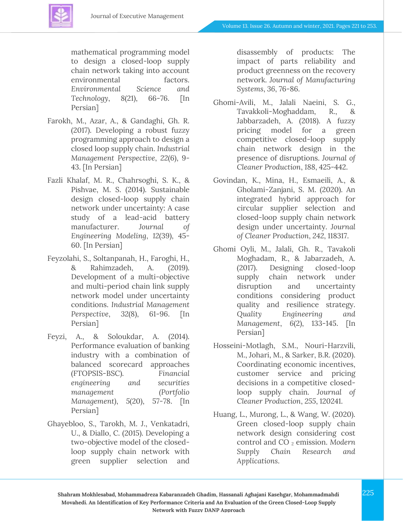

mathematical programming model to design a closed-loop supply chain network taking into account environmental factors. *Environmental Science and Technology*, *8*(21), 66-76. [In Persian]

- Farokh, M., Azar, A., & Gandaghi, Gh. R. (2017). Developing a robust fuzzy programming approach to design a closed loop supply chain. *Industrial Management Perspective*, *22*(6), 9- 43. [In Persian]
- Fazli Khalaf, M. R., Chahrsoghi, S. K., & Pishvae, M. S. (2014). Sustainable design closed-loop supply chain network under uncertainty: A case study of a lead-acid battery manufacturer. *Journal of Engineering Modeling*, *12*(39), 45- 60. [In Persian]
- Feyzolahi, S., Soltanpanah, H., Faroghi, H., & Rahimzadeh, A. (2019). Development of a multi-objective and multi-period chain link supply network model under uncertainty conditions. *Industrial Management Perspective*, *32*(8), 61-96. [In Persian]
- Feyzi, A., & Soloukdar, A. (2014). Performance evaluation of banking industry with a combination of balanced scorecard approaches (FTOPSIS-BSC). *Financial engineering and securities management (Portfolio Management)*, *5*(20), 57-78. [In Persian]
- Ghayebloo, S., Tarokh, M. J., Venkatadri, U., & Diallo, C. (2015). Developing a two-objective model of the closedloop supply chain network with green supplier selection and

disassembly of products: The impact of parts reliability and product greenness on the recovery network. *Journal of Manufacturing Systems*, *36*, 76-86.

- Ghomi-Avili, M., Jalali Naeini, S. G., Tavakkoli-Moghaddam, R., & Jabbarzadeh, A. (2018). A fuzzy pricing model for a green competitive closed-loop supply chain network design in the presence of disruptions. *Journal of Cleaner Production*, *188*, 425-442.
- Govindan, K., Mina, H., Esmaeili, A., & Gholami-Zanjani, S. M. (2020). An integrated hybrid approach for circular supplier selection and closed-loop supply chain network design under uncertainty. *Journal of Cleaner Production*, *242*, 118317.
- Ghomi Oyli, M., Jalali, Gh. R., Tavakoli Moghadam, R., & Jabarzadeh, A. (2017). Designing closed-loop supply chain network under disruption and uncertainty conditions considering product quality and resilience strategy. *Quality Engineering and Management*, *6*(2), 133-145. [In Persian]
- Hosseini-Motlagh, S.M., Nouri-Harzvili, M., Johari, M., & Sarker, B.R. (2020). Coordinating economic incentives, customer service and pricing decisions in a competitive closedloop supply chain. *Journal of Cleaner Production*, *255*, 120241.
- Huang, L., Murong, L., & Wang, W. (2020). Green closed-loop supply chain network design considering cost control and CO<sub>2</sub> emission. Modern *Supply Chain Research and Applications*.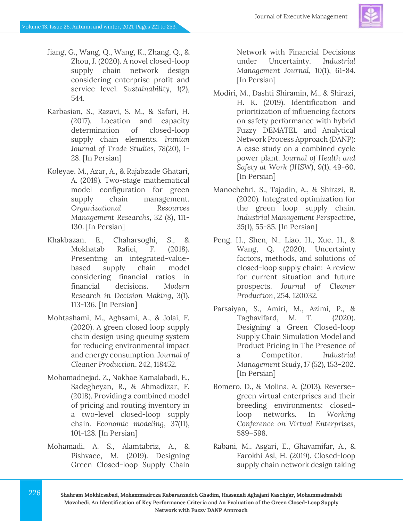- Jiang, G., Wang, Q., Wang, K., Zhang, Q., & Zhou, J. (2020). A novel closed-loop supply chain network design considering enterprise profit and service level. *Sustainability*, *1*(2), 544.
- Karbasian, S., Razavi, S. M., & Safari, H. (2017). Location and capacity determination of closed-loop supply chain elements. *Iranian Journal of Trade Studies*, *78*(20), 1- 28. [In Persian]
- Koleyae, M., Azar, A., & Rajabzade Ghatari, A. (2019). Two-stage mathematical model configuration for green supply chain management. *Organizational Resources Management Researchs*, 32 (8), 111- 130. [In Persian]
- Khakbazan, E., Chaharsoghi, S., & Mokhatab Rafiei, F. (2018). Presenting an integrated-valuebased supply chain model considering financial ratios in financial decisions. *Modern Research in Decision Making*, *3*(1), 113-136. [In Persian]
- Mohtashami, M., Aghsami, A., & Jolai, F. (2020). A green closed loop supply chain design using queuing system for reducing environmental impact and energy consumption. *Journal of Cleaner Production*, *242*, 118452.
- Mohamadnejad, Z., Nakhae Kamalabadi, E., Sadegheyan, R., & Ahmadizar, F. (2018). Providing a combined model of pricing and routing inventory in a two-level closed-loop supply chain. *Economic modeling*, *37*(11), 101-128. [In Persian]
- Mohamadi, A. S., Alamtabriz, A., & Pishvaee, M. (2019). Designing Green Closed-loop Supply Chain

Network with Financial Decisions under Uncertainty. *Industrial Management Journal, 10*(1), 61-84. [In Persian]

- Modiri, M., Dashti Shiramin, M., & Shirazi, H. K. (2019). Identification and prioritization of influencing factors on safety performance with hybrid Fuzzy DEMATEL and Analytical Network Process Approach (DANP): A case study on a combined cycle power plant. *Journal of Health and Safety at Work (JHSW)*, *9*(1), 49-60. [In Persian]
- Manochehri, S., Tajodin, A., & Shirazi, B. (2020). Integrated optimization for the green loop supply chain. *Industrial Management Perspective*, *35*(1), 55-85. [In Persian]
- Peng, H., Shen, N., Liao, H., Xue, H., & Wang, Q. (2020). Uncertainty factors, methods, and solutions of closed-loop supply chain: A review for current situation and future prospects. *Journal of Cleaner Production*, 254, 120032.
- Parsaiyan, S., Amiri, M., Azimi, P., & Taghavifard, M. T. (2020). Designing a Green Closed-loop Supply Chain Simulation Model and Product Pricing in The Presence of a Competitor. *Industrial Management Study*, *17* (52), 153-202. [In Persian]
- Romero, D., & Molina, A. (2013). Reverse– green virtual enterprises and their breeding environments: closedloop networks. In *Working Conference on Virtual Enterprises*, 589–598.
- Rabani, M., Asgari, E., Ghavamifar, A., & Farokhi Asl, H. (2019). Closed-loop supply chain network design taking
- **Shahram Mokhlesabad, Mohammadreza Kabaranzadeh Ghadim, Hassanali Aghajani Kasehgar, Mohammadmahdi Movahedi. An Identification of Key Performance Criteria and An Evaluation of the Green Closed-Loop Supply Network with Fuzzy DANP Approach**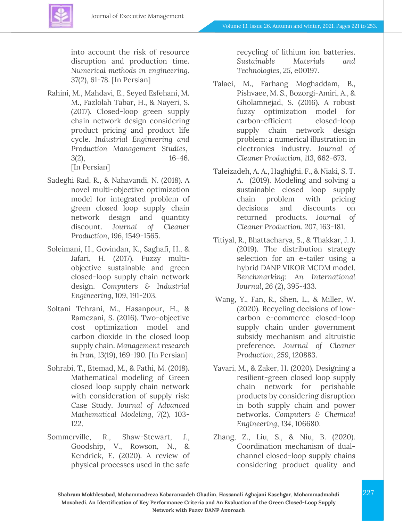into account the risk of resource disruption and production time. *Numerical methods in engineering*, *37*(2), 61-78. [In Persian]

- Rahini, M., Mahdavi, E., Seyed Esfehani, M. M., Fazlolah Tabar, H., & Nayeri, S. (2017). Closed-loop green supply chain network design considering product pricing and product life cycle. *Industrial Engineering and Production Management Studies*, *3*(2), 16-46. [In Persian]
- Sadeghi Rad, R., & Nahavandi, N. (2018). A novel multi-objective optimization model for integrated problem of green closed loop supply chain network design and quantity discount. *Journal of Cleaner Production*, *196*, 1549-1565.
- Soleimani, H., Govindan, K., Saghafi, H., & Jafari, H. (2017). Fuzzy multiobjective sustainable and green closed-loop supply chain network design. *Computers & Industrial Engineering*, *109*, 191-203.
- Soltani Tehrani, M., Hasanpour, H., & Ramezani, S. (2016). Two-objective cost optimization model and carbon dioxide in the closed loop supply chain. *Management research in Iran*, *13*(19), 169-190. [In Persian]
- Sohrabi, T., Etemad, M., & Fathi, M. (2018). Mathematical modeling of Green closed loop supply chain network with consideration of supply risk: Case Study. *Journal of Advanced Mathematical Modeling*, *7*(2), 103- 122.
- Sommerville, R., Shaw-Stewart, J., Goodship, V., Rowson, N., & Kendrick, E. (2020). A review of physical processes used in the safe

recycling of lithium ion batteries. *Sustainable Materials and Technologies*, *25*, e00197.

- Talaei, M., Farhang Moghaddam, B., Pishvaee, M. S., Bozorgi-Amiri, A., & Gholamnejad, S. (2016). A robust fuzzy optimization model for carbon-efficient closed-loop supply chain network design problem: a numerical illustration in electronics industry. *Journal of Cleaner Production*, *113*, 662-673.
- Taleizadeh, A. A., Haghighi, F., & Niaki, S. T. A. (2019). Modeling and solving a sustainable closed loop supply chain problem with pricing decisions and discounts on returned products. *Journal of Cleaner Production*. *207*, 163-181.
- Titiyal, R., Bhattacharya, S., & Thakkar, J. J. (2019). The distribution strategy selection for an e-tailer using a hybrid DANP VIKOR MCDM model. *Benchmarking: An International Journal*, *26* (2), 395-433.
- Wang, Y., Fan, R., Shen, L., & Miller, W. (2020). Recycling decisions of lowcarbon e-commerce closed-loop supply chain under government subsidy mechanism and altruistic preference. *Journal of Cleaner Production*, *259*, 120883.
- Yavari, M., & Zaker, H. (2020). Designing a resilient-green closed loop supply chain network for perishable products by considering disruption in both supply chain and power networks. *Computers & Chemical Engineering*, *134*, 106680.
- Zhang, Z., Liu, S., & Niu, B. (2020). Coordination mechanism of dualchannel closed-loop supply chains considering product quality and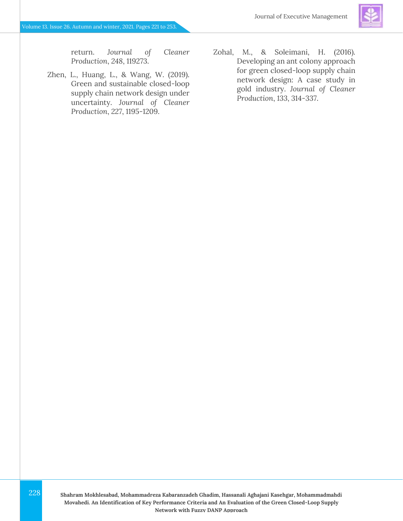return. *Journal of Cleaner Production*, *248*, 119273.

- Zhen, L., Huang, L., & Wang, W. (2019). Green and sustainable closed-loop supply chain network design under uncertainty. *Journal of Cleaner Production*, *227*, 1195-1209.
- Zohal, M., & Soleimani, H. (2016). Developing an ant colony approach for green closed-loop supply chain network design: A case study in gold industry. *Journal of Cleaner Production*, *133*, 314-337.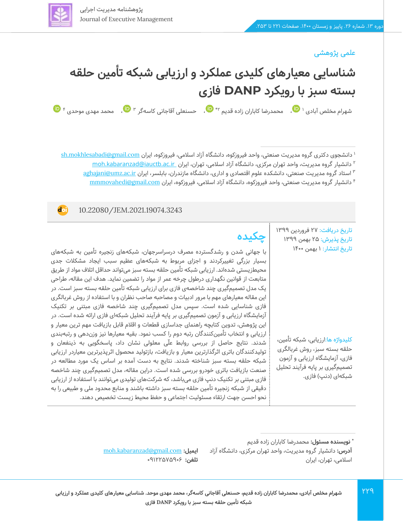### علمی پژوهشی

**doi** 



دانشجوی دکتری گروه مدیریت صنعتی، واحد فیروزکوه، دانشگاه آزاد اسلامی، فیروزکوه، ایران sh.mokhlesabadi@gmail.com ۲ دانشیار گروه مدیریت، واحد تهران مرکزی، دانشگاه آزاد اسلامی، تهران، ایران moh.kabaranzad@iauctb.ac.ir استاد گروه مدیریت صنعتی، دانشکده علوم اقتصادی و اداری، دانشگاه مازندران، بابلسر، ایران [ir.ac.umz@aghajani](file:///C:/Users/farha/Downloads/aghajani@umz.ac.ir) <sup>3</sup> دانشیار گروه مدیریت صنعتی، واحد فیروزکوه ، دانشگاه آزاد اسالمی، فیروزکوه، ایران [com.gmail@mmmovahedi](file:///C:/Users/farha/Downloads/mmmovahedi@gmail.com) <sup>4</sup>

### 10.22080/JEM.2021.19074.3243

تاریخ دریافت: 27 فروردین 1399 تاریخ پذیرش : 25 بهمن 1399 تاریخ انتشار: 1 بهمن 1400

کلیدواژه ها:ارزیابی، شبکه تأمین، حلقه بسته سبز، روش غربالگری فازی، آزمایشگاه ارزیابی و آزمون تصمیمگیری بر پایه فرآیند تحلیل شبکهای (دنپ) فازی.

# **چکیده**

با جهانی شدن و رشدگسترده مصرف درسراسرجهان، شبکههای زنجیره تأمین به شبکههای بسیار بزرگی تغییرکردند و اجزای مربوط به شبکههای عظیم سبب ایجاد مشکالت جدی محیطزیستی شدهاند. ارزیابی شبکه تأمین حلقه بسته سبز میتواند حداقل اتالف مواد از طریق متابعت از قوانین نگهداری درطول چرخه عمر از مواد را تضمین نماید. هدف این مقاله، طراحی یک مدل تصمیم گیری چند شاخصه ی فازی برای ارزیابی شبکه تأمین حلقه بسته سبز است. در این مقاله معیارهای مهم با مرور ادبیات و مصاحبه صاحب نظران و با استفاده از روش غربالگری فازی شناسایی شده است. سپس مدل تصمیمگیری چند شاخصه فازی مبتنی بر تکنیک آزمایشگاه ارزیابی و آزمون تصمیمگیری بر پایه فرآیند تحلیل شبکهای فازی ارائه شده است. در این پژوهش، تدوین کتابچه راهنمای جداسازی قطعات و اقالم قابل بازیافت مهم ترین معیار و ارزیابی و انتخاب تأمینکنندگان رتبه دوم را کسب نمود. بقیه معیارها نیز وزندهی و رتبهبندی شدند. نتایج حاصل از بررسی روابط علّی معلولی نشان داد، پاسخگویی به ذینفعان و تولیدکنندگان باتری اثرگذارترین معیار و بازیافت، بازتولید محصول اثرپذیرترین معیاردر ارزیابی شبکه حلقه بسته سبز شناخته شدند. نتایج به دست آمده بر اساس یک مورد مطالعه در صنعت بازیافت باتری خودرو بررسی شده است. دراین مقاله، مدل تصمیمگیری چند شاخصه فازی مبتنی بر تکنیک دنپ فازی میباشد، که شرکتهای تولیدی میتوانند با استفاده از ارزیابی دقیقی از شبکه زنجیره تأمین حلقه بسته سبز داشته باشند و منابع محدود ملی و طبیعی را به نحو احسن جهت ارتقاء مسئولیت اجتماعی و حفظ محیط زیست تخصیص دهند.

[moh.kabaranzad@gmail.com](file:///C:/Users/farha/Downloads/moh.kabaranzad@gmail.com) **:ایمیل تلفن:** 091225۷5906

**<sup>:</sup>** محمدرضا کاباران زاده قدیم **\* نویسنده مسئول آدرس:** دانشیار گروه مدیریت، واحد تهران مرکزی، دانشگاه آزاد اسالمی، تهران، ایران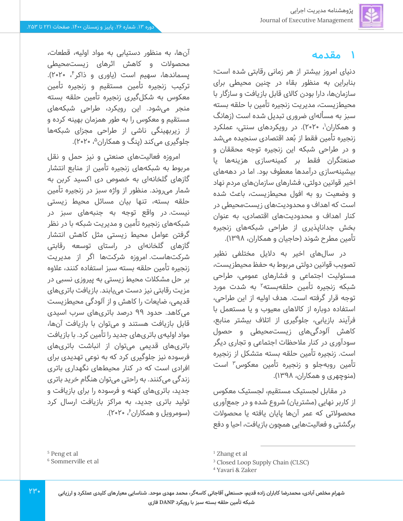## **1 مقدمه**

دنیای امروز بیشتر از هر زمانی رقابتی شده است؛ بنابراین به منظور بقاء در چنین محیطی برای سازمانها، دارا بودن کاالی قابل بازیافت و سازگار با محیطزیست، مدیریت زنجیره تأمین با حلقه بسته سبز به مسألهای ضروری تبدیل شده است (زهانگ و همکاران<sup>۱</sup>، ۲۰۲۰). در رویکردهای سنتی، عملکرد زنجیره تأمین فقط از بُعد اقتصادی سنجیده میشد و در طراحی شبکه این زنجیره توجه محققان و صنعتگران فقط بر کمینهسازی هزینهها یا بیشینهسازی درآمدها معطوف بود. اما در دهه های اخیر قوانین دولتی، فشارهای سازمانهای مردم نهاد و وضعیت رو به افول محیطزیست، باعث شده است که اهداف و محدودی ت های زیست محیطی در کنار اهداف و محدودیت های اقتصادی، به عنوان بخش جداناپذیری از طراحی شبکه های زنجیره تأمین مطرح شوند (حاجیان و همکاران، ۱۳۹۸).

در سال های اخیر به دالیل مختلفی نظیر تصویب قوانین دولتی مربوط به حفظ محیطزیست، مسئولیت اجتماعی و فشارهای عمومی، طراحی شبکه زنجیره تأمین حلقهبسته<sup>۲</sup> به شدت مورد توجه قرار گرفته است. هدف اولیه از این طراحی، استفاده دوباره از کاالهای معیوب و یا مستعمل با فرآیند بازیابی، جلوگیری از اتالف بیشتر منابع، کاهش آلودگی های زیست محیطی و حصول سودآوری در کنار مالحظات اجتماعی و تجاری دیگر است. زنجیره تأمین حلقه بسته متشکل از زنجیره تأمین روبهجلو و زنجیره تأمین معکوس<sup>۳</sup> است )منوچهری و همکاران، 139۸(.

در مقابل لجستیک مستقیم، لجستیک معکوس از کاربر نهایی (مشتریان) شروع شده و در جمعآوری محصوالتی که عمر آن ها پایان یافته یا محصوالت برگشتی و فعالیت هایی همچون بازیافت، احیا و دفع

آنها، به منظور دستیابی به مواد اولیه، قطعات، محصوالت و کاهش اثرهای زیست محیطی پسماندها، سهیم است (یاوری و ذاکر<sup>۴</sup>، ۲۰۲۰). ترکیب زنجیره تأمین مستقیم و زنجیره تأمین معکوس به شکل گیری زنجیره تأمین حلقه بسته منجر می شود. این رویکرد، طراحی شبکه های مستقیم و معکوس را به طور همزمان بهینه کرده و از زیربهینگی ناشی از طراحی مجزای شبکه ها جلوگیری میکند (پنگ و همکاران<sup>۵</sup>، ۲۰۲۰).

امروزه فعالیت های صنعتی و نیز حمل و نقل مربوط به شبکه های زنجیره تأمین از منابع انتشار گازهای گلخانهای به خصوص دی اکسید کربن به شمار می روند. منظور از واژه سبز در زنجیره تأمین حلقه بسته، تنها بیان مسائل محیط زیستی نیست. در واقع توجه به جنبههای سبز در شبکههای زنجیره تأمین و مدیریت شبکه با در نظر گرفتن عوامل محیط زیستی مثل کاهش انتشار گازهای گلخانه ای در راستای توسعه رقابتی شرکت هاست. امروزه شرکت ها اگر از مدیریت زنجیره تأمین حلقه بسته سبز استفاده کنند، عالوه بر حل مشکالت محیط زیستی به پیروزی نسبی در مزیت رقابتی نیز دست می یابند. بازیافت باتری های قدیمی، ضایعات را کاهش و از آلودگی محیط زیست میکاهد. حدود ۹۹ درصد باتریهای سرب اسیدی قابل بازیافت هستند و می توان با بازیافت آن ها، مواد اولیهی باتری های جدید را تأمین کرد. با بازیافت باتریهای قدیمی می توان از انباشت باتری های فرسوده نیز جلوگیری کرد که به نوعی تهدیدی برای افرادی است که در کنار محیطهای نگهداری باتری زندگی می کنند. به راحتی می توان هنگام خرید باتری جدید، باتری های کهنه و فرسوده را برای بازیافت و تولید باتری جدید، به مراکز بازیافت ارسال کرد (سومرویل و همکاران ٔ، ۲۰۲۰).

<sup>5</sup> Peng et al

<sup>6</sup> Sommerville et al

<sup>&</sup>lt;sup>1</sup> Zhang et al

<sup>3</sup> Closed Loop Supply Chain (CLSC)

<sup>4</sup> Yavari & Zaker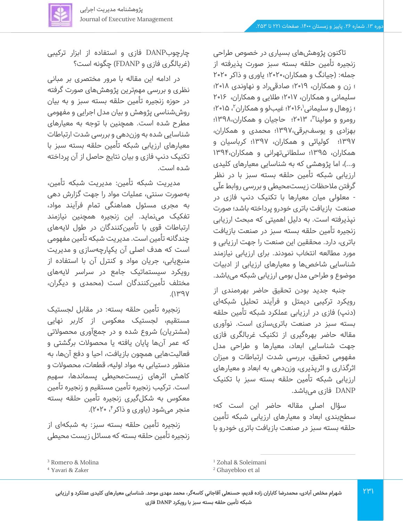

تاکنون پژوهش های بسیاری در خصوص طراحی زنجیره تأمین حلقه بسته سبز صورت پذیرفته از جمله: (جیانگ و همکاران،۲۰۲۰؛ یاوری و ذاکر ۲۰۲۰ ؛ زن و همکاران، 2019؛ صادقی راد و نهاوندی 2018؛ سلیمانی و همکاران، 2017؛ طالیی و همکاران، 2016 ؛ زوهال و سلیمانی'،۱۶،'۲۹؛ غیبلو و همکاران''، ۱۵،۰۲؛ ، 2013؛ حاجیان و همکاران1398،؛ <sup>3</sup> رومرو و مولینا بهزادی و یوسف برقی1397،؛ محمدی و همکاران، 1397؛ کولیائی و همکاران، 1397؛ کرباسیان و همکاران، 1395؛ سلطانی تهرانی و همکاران1394، و...)، اما پژوهشی که به شناسایی معیارهای کلیدی ارزیابی شبکه تأمین حلقه بسته سبز با در نظر گرفتن مالحظات زیست محیطی و بررسی روابط علّی - معلولی میان معیارها با تکنیک دنپ فازی در صنعت بازیافت باتری خودرو پرداخته باشد؛ صورت نپذیرفته است. به دلیل اهمیتی که مبحث ارزیابی زنجیره تأمین حلقه بسته سبز در صنعت بازیافت باتری، دارد. محققین این صنعت را جهت ارزیابی و مورد مطالعه انتخاب نمودند. برای ارزیابی نیازمند شناسایی شاخص ها و معیارهای ارزیابی از ادبیات موضوع و طراحی مدل بومی ارزیابی شبکه می باشد.

جنبه جدید بودن تحقیق حاضر بهرهمندی از رویکرد ترکیبی دیمتل و فرآیند تحلیل شبکه ای (دنپ) فازی در ارزیابی عملکرد شبکه تأمین حلقه بسته سبز در صنعت باتریسازی است. نوآوری مقاله حاضر بهره گیری از تکنیک غربالگری فازی جهت شناسایی ابعاد، معیارها و طراحی مدل مفهومی تحقیق، بررسی شدت ارتباطات و میزان اثرگذاری و اثرپذیری، وزندهی به ابعاد و معیارهای ارزیابی شبکه تأمین حلقه بسته سبز با تکنیک DANP فازی می باشد.

سؤال اصلی مقاله حاضر این است که؛ سطحبندی ابعاد و معیارهای ارزیابی شبکه تأمین حلقه بسته سبز در صنعت بازیافت باتری خودرو با

چارچوب DANP فازی و استفاده از ابزار ترکیبی )غربالگری فازی و FDANP )چگونه است؟

در ادامه این مقاله با مرور مختصری بر مبانی نظری و بررسی مهم ترین پژوهش های صورت گرفته در حوزه زنجیره تأمین حلقه بسته سبز و به بیان روششناسی پژوهش و بیان مدل اجرایی و مفهومی مطرح شده است. همچنین با توجه به معیارهای شناسایی شده به وزن دهی و بررسی شدت ارتباطات معیارهای ارزیابی شبکه تأمین حلقه بسته سبز با تکنیک دنپ فازی و بیان نتایج حاصل از آن پرداخته شده است.

مدیریت شبکه تأمین:مدیریت شبکه تأمین، بهصورت سنتی، عملیات مواد را جهت گزارش دهی به مجری مسئول هماهنگی تمام فرآیند مواد، تفکیک می نماید. این زنجیره همچنین نیازمند ارتباطات قوی با تأمین کنندگان در طول الیههای چندگانه تأمین است. مدیریت شبکه تأمین مفهومی است که هدف اصلی آن یکپارچهسازی و مدیریت منبعیابی، جریان مواد و کنترل آن با استفاده از رویکرد سیستماتیک جامع در سراسر الیههای مختلف تأمینکنندگان است )محمدی و دیگران،  $Y$  $P$  $Y$ 

زنجیره تأمین حلقه بسته:در مقابل لجستیک مستقیم، لجستیک معکوس از کاربر نهایی (مشتریان) شروع شده و در جمعآوری محصولاتی که عمر آن ها پایان یافته یا محصوالت برگشتی و فعالیتهایی همچون بازیافت، احیا و دفع آن ها، به منظور دستیابی به مواد اولیه، قطعات، محصوالت و کاهش اثرهای زیست محیطی پسماندها، سهیم است. ترکیب زنجیره تأمین مستقیم و زنجیره تأمین معکوس به شکل گیری زنجیره تأمین حلقه بسته منجر میشود (یاوری و ذاکر ٔ، ۲۰۲۰).

زنجیره تأمین حلقه بسته سبز: به شبکهای از زنجیره تأمین حلقه بسته که مسائل زیست محیطی

<sup>3</sup> Romero & Molina

<sup>4</sup> Yavari & Zaker

<sup>1</sup> Zohal & Soleimani

<sup>2</sup> Ghayebloo et al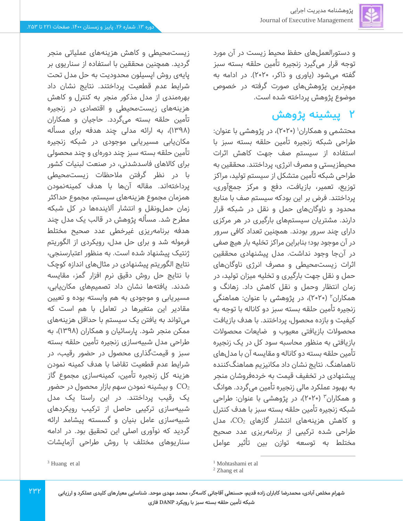و دستورالعملهای حفظ محیط زیست در آن مورد توجه قرار می گیرد زنجیره تأمین حلقه بسته سبز گفته میشود )یاوری و ذاکر،2020(. در ادامه به مهمترین پژوهش های صورت گرفته در خصوص موضوع پژوهش پرداخته شده است.

## **2 پیشینه پژوهش**

محتشمی و همکاران' (۲۰۲۰)، در پژوهشی با عنوان: طراحی شبکه زنجیره تأمین حلقه بسته سبز با استفاده از سیستم صف جهت کاهش اثرات محیطزیستی و مصرف انرژی، پرداختند. محققین به طراحی شبکه تأمین متشکل از سیستم تولید، مراکز توزیع، تعمیر، بازیافت، دفع و مرکز جمع آوری، پرداختند. فرض بر این بودکه سیستم صف با منابع محدود و ناوگان های حمل و نقل در شبکه قرار دارند. مشتریان سیستم های بارگیری در هر مرکزی دارای چند سرور بودند. همچنین تعداد کافی سرور در آن موجود بود؛ بنابراین مراکز تخلیه بار هیچ صفی در آن جا وجود نداشت. مدل پیشنهادی محققین اثرات زیست محیطی و مصرف انرژی ناوگان های حمل و نقل جهت بارگیری و تخلیه میزان تولید، در زمان انتظار وحمل و نقل کاهش داد. زهانگ و همکاران<sup>۲</sup> (۲۰۲۰)، در پژوهشی با عنوان: هماهنگی زنجیره تأمین حلقه بسته سبز دو کاناله با توجه به کیفیت و بازده محصول، پرداختند. با هدف بازیافت محصوالت بازیافتی معیوب و ضایعات محصوالت بازیافتی به منظور محاسبه سود کل در یک زنجیره تأمین حلقه بسته دو کاناله و مقایسه آن با مدل های ناهماهنگ. نتایج نشان داد مکانیزیم هماهنگ کننده پیشنهادی در تخفیف قیمت به خردهفروشان منجر به بهبود عملکرد مالی زنجیره تأمین میگردد. هوانگ و همکاران<sup>۳</sup> (۲۰۲۰)، در پژوهشی با عنوان: طراحی شبکه زنجیره تأمین حلقه بسته سبز با هدف کنترل و کاهش هزینههای انتشار گازهای 2CO، مدل طراحی شده ترکیبی از برنامهریزی عدد صحیح مختلط به توسعه توازن بین تأثیر عوامل

<sup>1</sup> Mohtashami et al

زیست محیطی و کاهش هزینههای عملیاتی منجر گردید. همچنین محققین با استفاده از سناریوی بر پایهی روش اپسیلون محدودیت به حل مدل تحت شرایط عدم قطعیت پرداختند. نتایج نشان داد بهره مندی از مدل مذکور منجر به کنترل و کاهش هزینههای زیست محیطی و اقتصادی در زنجیره تأمین حلقه بسته می گردد. حاجیان و همکاران )139۸(، به ارائه مدلی چند هدفه برای مسأله مکانیابی مسیریابی موجودی در شبکه زنجیره تأمین حلقه بسته سبز چند دورهای و چند محصولی برای کاالهای فاسدشدنی، در صنعت لبنیات کشور با در نظر گرفتن مالحظات زیست محیطی پرداخته اند. مقاله آن ها با هدف کمینهنمودن همزمان مجموع هزینه های سیستم، مجموع حداکثر زمان حملونقل و انتشار آلایندهها در کل شبکه مطرح شد. مسأله پژوهش در قالب یک مدل چند هدفه برنامهریزی غیرخطی عدد صحیح مختلط فرموله شد و برای حل مدل، رویکردی از الگوریتم ژنتیک پیشنهاد شده است. به منظور اعتبارسنجی، نتایج الگوریتم پیشنهادی در مثال های اندازه کوچک با نتایج حل روش دقیق نرم افزار گمز، مقایسه شدند. یافتهها نشان داد تصمیمهای مکان یابی، مسیریابی و موجودی به هم وابسته بوده و تعیین مقادیر این متغیرها در تعامل با هم است که میتواند به یافتن یک سیستم با حداقل هزینه های ممکن منجر شود. پارسائیان و همکاران (۱۳۹۸)، به طراحی مدل شبیهسازی زنجیره تأمین حلقه بسته سبز و قیمت گذاری محصول در حضور رقیب، در شرایط عدم قطعیت تقاضا با هدف کمینه نمودن هزینه کل زنجیره تأمین، کمینهسازی مجموع گاز و بیشینه نمودن سهم بازار محصول در حضور  $\rm CO_{2}$ یک رقیب پرداختند. در این راستا یک مدل شبیهسازی ترکیبی حاصل از ترکیب رویکردهای شبیهسازی عامل بنیان و گسسته پیشامد ارائه گردید که نوآوری اصلی این تحقیق بود. در ادامه سناریوهای مختلف با روش طراحی آزمایشات

<sup>3</sup> Huang et al

 $Y^{\mu}Y$ 

<sup>2</sup> Zhang et al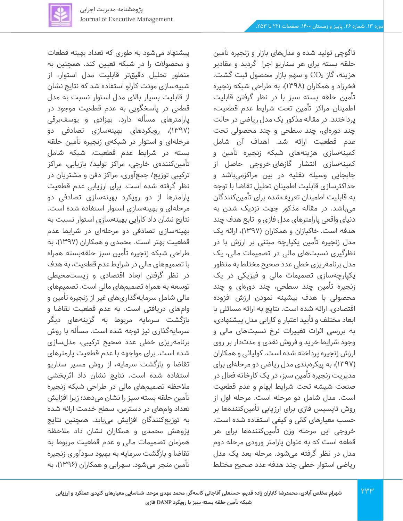

تاگوچی تولید شده و مدل های بازار و زنجیره تأمین حلقه بسته برای هر سناریو اجرا گردید و مقادیر هزینه، گاز  $\rm CO_{2}$  و سهم بازار محصول ثبت گشت. فخرزاد و همکاران ) 139۸(، به طراحی شبکه زنجیره تأمین حلقه بسته سبز با در نظر گرفتن قابلیت اطمینان مراکز تأمین تحت شرایط عدم قطعیت، پرداختند. د ر مقاله مذکور یک مدل ریاضی در حالت چند دوره ای، چند سطحی و چند محصولی تحت عدم قطعیت ارائه شد. اهداف آن شامل کمینهسازی هزینه های شبکه زنجیره تأمین و کمینهسازی انتشار گازهای خروجی حاصل از جابجایی وسیله نقلیه در بین مراکزمیباشد و حداکثرسازی قابلیت اطمینان تحلیل تقاضا با توجه به قابلیت اطمینان تعریفشده برای تأمین کنندگان میباشد. در مقاله مذکور جهت نزدیک شدن به دنیای واقعی پارامترهای مدل فازی و تابع هدف چند هدفه است. خاکبازان و همکاران )139۷(، ارائه یک مدل زنجیره تأمین یکپارچه مبتنی بر ارزش با در نظرگیری نسبت های مالی در تصمیمات مالی، یک مدل برنامهریزی خطی عدد صحیح مختلط به منظور یکپارچه سازی تصمیمات مالی و فیزیکی در یک زنجیره تأمین چند سطحی، چند دورهای و چند محصولی با هدف بیشینه نمودن ارزش افزوده اقتصادی، ارائه شده است. نتایج به ارائه مسائلی با ابعاد مختلف و تأیید اعتبار و کارایی مدل پیشنهادی، به بررسی اثرات تغییرات نرخ نسبت های مالی و وجود شرایط خرید و فروش نقدی و مدت دار بر روی ارزش زنجیره پرداخته شده است. کولیائی و همکاران )139۷(، به پیکره بندی مدل ریاضی دو مرحله ای برای مدیریت زنجیره تأمین سبز، در یک کارخانه فعال در صنعت شیشه تحت شرایط ابهام و عدم قطعیت است. مدل شامل دو مرحله است. مرحله اول از روش تاپسیس فازی برای ارزیابی تأمین کنندهها بر حسب معیارهای کمّی و کیفی استفاده شده است. خروجی این مرحله وزن تأمینکنندهها برای هر قطعه است که به عنوان پارامتر ورودی مرحله دوم مدل در نظر گرفته می شود. مرحله بعد یک مدل ریاضی استوار خطی چند هدفه عدد صحیح مختلط

پیشنهاد می شود به طوری که تعداد بهینه قطعات و محصوالت را در شبکه تعیین کند. همچنین به منظور تحلیل دقیق تر قابلیت مدل استوار، از شبیهسازی مونت کارلو استفاده شد که نتایج نشان از قابلیت بسیار باالی مدل استوار نسبت به مدل قطعی در پاسخگویی به عدم قطعیت موجود در پارامترهای مسأله دارد. بهزادی و یوسفبرقی )139۷(، رویکردهای بهینهسازی تصادفی دو مرحلهای و استوار در شبکهی زنجیره تأمین حلقه بسته در شرایط عدم ق طعیت، شبکه شامل تأمینکنندهی خارجی، مراکز تولید/ بازیابی، مراکز ترکیبی توزیع/ جمع آوری، مراکز دفن و مشتریان در نظر گرفته شده است. برای ارزیابی عدم قطعیت پارامترها از دو رویکرد بهینهسازی تصادفی دو مرحلهای و بهینهسازی استوار استفاده شده است. نتایج نشان داد کارایی بهینه سازی استوار نسبت به بهینهسازی تصادفی دو مرحلهای در شرایط عدم قطعیت بهتر است. محمدی و همکاران ) 139۷(، به طراحی شبکه زنجیره تأمین سبز حلقهبسته همراه با تصمیم های مالی در شرایط عدم قطعیت، به هدف در نظر گرفتن ابعاد اقتصادی و زیست محیطی توسعه به همراه تصمیمهای مالی است. تصمیمهای مالی شامل سرمایهگذاریهای غیر از زنجیره تأمین و وامهای دریافتی است. به عدم قطعیت تقاضا و بازگشت سرمایه مربوط به گزینههای دیگر سرمایهگذاری نیز توجه شده است. مسأله با روش برنامهریزی خطی عدد صحیح ترکیبی، مدل سازی شده است. برای مواجهه با عدم قطعیت پارمترهای تقاضا و بازگشت سرمایه، از روش مسیر سناریو استفاده شده است. نتایج نشان داد اثربخشی مالحظه تصمیمهای مالی در طراحی شبکه زنجیره تأمین حلقه بسته سبز را نشان می دهد؛ زیرا افزایش تعداد وام های در دسترس، سطح خدمت ارائه شده به توزیع کنندگان افزایش می یابد. همچنین نتایج پژوهش محمدی و همکاران نشان داد مالحظه همزمان تصمیمات مالی و عدم قطعیت مربوط به تقاضا و بازگشت سرمایه به بهبود سودآوری زنجیره تأمین منجر میشود. سهرابی و همکاران )1396(، به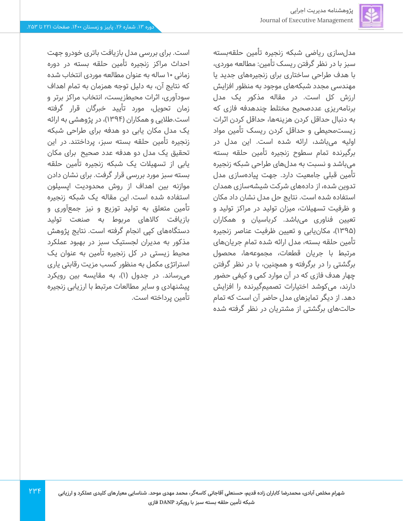

مدل سازی ریاضی شبکه زنجیره تأمین حلقه بسته سبز با در نظر گرفتن ریسک تأمین: مطالعه موردی، با هدف طراحی ساختاری برای زنجیره های جدید یا مهندسی مجدد شبکه های موجود به منظور افزایش ارزش کل است. در مقاله مذکور یک مدل برنامهریزی عددصحیح مختلط چندهدفه فازی که به دنبال حداقل کردن هزینه ها، حداقل کردن اثرات زیست محیطی و حداقل کردن ریسک تأمین مواد اولیه می باشد، ارائه شده است. این مدل در برگیرنده تمام سطوح زنجیره تأمین حلقه بسته میباشد و نسبت به مدل های طراحی شبکه زنجیره تأمین قبلی جامعیت دارد. جهت پیاده سازی مدل تدوین شده، از داده های شرکت شیشهسازی همدان استفاده شده است. نتایج حل مدل نشان داد مکان و ظرفیت تسهیالت، میزان تولید در مراکز تولید و تعیین فناوری می باشد. کرباسیان و همکاران )1395(، مکان یابی و تعیین ظرفیت عناصر زنجیره تأمین حلقه بسته، مدل ارائه شده تمام جریان های مرتبط با جریان قطعات، مجموعه ها، محصول برگشتی را در برگرفته و همچنین، با در نظر گرفتن چهار هدف فازی که در آن موارد کمی و کیفی حضور دارند، می کوشد اختیارات تصمیمگیرنده را افزایش دهد. از دیگر تمایزهای مدل حاضر آن است که تمام حالت های برگشتی از مشتریان در نظر گرفته شده

 $\gamma \mu \gamma$ 

است. برای بررسی مدل بازیافت باتری خودرو جهت احداث مراکز زنجیره تأمین حلقه بسته در دوره زمانی 10 ساله به عنوان مطالعه موردی انتخاب شده که نتایج آن، به دلیل توجه همزمان به تمام اهداف سودآوری، اثرات محیطزیست، انتخاب مراکز برتر و زمان تحویل، مورد تأیید خبرگان قرار گرفته است.طلایی و همکاران (۱۳۹۴)، در پژوهشی به ارائه یک مدل مکان یابی دو هدفه برای طراحی شبکه زنجیره تأمین حلقه بسته سبز، پرداختند. در این تحقیق یک مدل دو هدفه عدد صحیح برای مکان یابی از تسهیالت یک شبکه زنجیره تأمین حلقه بسته سبز مورد بررسی قرار گرفت. برای نشان دادن موازنه بین اهداف از روش محدودیت اپسیلون استفاده شده است. این مقاله یک شبکه زنجیره تأمین متعلق به تولید توزیع و نیز جمع آوری و بازیافت کاالهای مربوط به صنعت تولید دستگاههای کپی انجام گرفته است. نتایج پژوهش مذکور به مدیران لجستیک سبز در بهبود عملکرد محیط زیستی در کل زنجیره تأمین به عنوان یک استراتژی مکمل به منظور کسب مزیت رقابتی یاری میرساند. در جدول )1(، به مقایسه بین رویکرد پیشنهادی و سایر مطالعات مرتبط با ارزیابی زنجیره تأمین پرداخته است.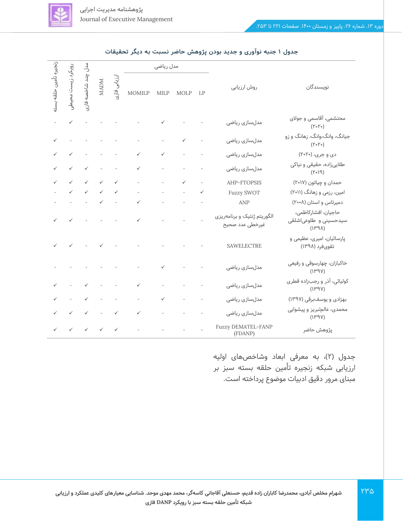

| رويکرد       |                                                                                                                                                                                                                                                                                                                                                                                                                                                                                              |                    |                                                           |              | مدل ریاضی                                                                                                                                                                                                                                                                                                                                                                                                                                                                  |                  |                          |                          |                                                |                                                                          |  |
|--------------|----------------------------------------------------------------------------------------------------------------------------------------------------------------------------------------------------------------------------------------------------------------------------------------------------------------------------------------------------------------------------------------------------------------------------------------------------------------------------------------------|--------------------|-----------------------------------------------------------|--------------|----------------------------------------------------------------------------------------------------------------------------------------------------------------------------------------------------------------------------------------------------------------------------------------------------------------------------------------------------------------------------------------------------------------------------------------------------------------------------|------------------|--------------------------|--------------------------|------------------------------------------------|--------------------------------------------------------------------------|--|
| تامين حلقه   | زيست محيطي                                                                                                                                                                                                                                                                                                                                                                                                                                                                                   | ىدل چند شاخصه فازى |                                                           | ارزیابی فازی |                                                                                                                                                                                                                                                                                                                                                                                                                                                                            | MOMILP MILP MOLP |                          | LP                       | روش ارزیابی                                    | نويسندگان                                                                |  |
|              |                                                                                                                                                                                                                                                                                                                                                                                                                                                                                              |                    |                                                           |              | $\sqrt{2} \left( \left( \frac{1}{2} \right) \left( \frac{1}{2} \right) \left( \frac{1}{2} \right) \left( \frac{1}{2} \right) \left( \frac{1}{2} \right) \left( \frac{1}{2} \right) \left( \frac{1}{2} \right) \left( \frac{1}{2} \right) \left( \frac{1}{2} \right) \left( \frac{1}{2} \right) \left( \frac{1}{2} \right) \left( \frac{1}{2} \right) \left( \frac{1}{2} \right) \left( \frac{1}{2} \right) \left( \frac{1}{2} \right) \left( \frac{1}{2} \right) \left( \$ |                  |                          |                          | مدلسازی ریاضی                                  | محتشمی، آقاسمی و جولای<br>$(Y \circ Y \circ)$                            |  |
| $\checkmark$ |                                                                                                                                                                                                                                                                                                                                                                                                                                                                                              |                    |                                                           |              | $\mathcal{L}^{\mathcal{A}}$ . The set of the set of the set of the set of the $\mathcal{A}$                                                                                                                                                                                                                                                                                                                                                                                |                  | $\checkmark$             |                          | مدلسازی ریاضی                                  | جیانگ، وانگ،وانگ، زهانگ و زو<br>$(Y \circ Y \circ)$                      |  |
|              | $\sqrt{2} \left( \sqrt{2} \left( \sqrt{2} \right) \right) \left( \sqrt{2} \left( \sqrt{2} \right) \right) \left( \sqrt{2} \left( \sqrt{2} \right) \right) \left( \sqrt{2} \left( \sqrt{2} \right) \right) \left( \sqrt{2} \left( \sqrt{2} \right) \right) \left( \sqrt{2} \left( \sqrt{2} \right) \right) \left( \sqrt{2} \left( \sqrt{2} \right) \right) \left( \sqrt{2} \left( \sqrt{2} \right) \right) \left( \sqrt{2} \left( \sqrt{2} \right) \right) \left( \sqrt{2} \left( \sqrt{2} \$ |                    |                                                           |              | $\checkmark$                                                                                                                                                                                                                                                                                                                                                                                                                                                               | $\checkmark$     |                          |                          | مدلسازی ریاضی                                  | دی و جری، (۲۰۲۰)                                                         |  |
|              |                                                                                                                                                                                                                                                                                                                                                                                                                                                                                              |                    |                                                           |              | $\checkmark$                                                                                                                                                                                                                                                                                                                                                                                                                                                               |                  |                          |                          | مدلسازی ریاضی                                  | طلاییزاده، حقیقی و نیاکی<br>(1.8)                                        |  |
|              |                                                                                                                                                                                                                                                                                                                                                                                                                                                                                              |                    | $\checkmark$ and $\checkmark$                             | $\checkmark$ |                                                                                                                                                                                                                                                                                                                                                                                                                                                                            |                  | $\checkmark$             |                          | AHP-FTOPSIS                                    | حمدان و چیاتون (۲۰۱۷)                                                    |  |
|              |                                                                                                                                                                                                                                                                                                                                                                                                                                                                                              |                    |                                                           |              | $\overline{\phantom{a}}$                                                                                                                                                                                                                                                                                                                                                                                                                                                   |                  |                          | $\checkmark$             | <b>Fuzzy SWOT</b>                              | امین، رزمی و زهانگ (۲۰۱۱)                                                |  |
|              |                                                                                                                                                                                                                                                                                                                                                                                                                                                                                              |                    |                                                           |              | $\mathcal{A}=\mathcal{A}=\mathcal{A}$ and $\mathcal{A}=\mathcal{A}=\mathcal{A}$                                                                                                                                                                                                                                                                                                                                                                                            |                  |                          |                          | ANP                                            | دمیرتاس و استان (۲۰۰۸)                                                   |  |
|              | $\sqrt{2} \left( \begin{array}{ccc} \sqrt{2} & \sqrt{2} & \sqrt{2} & \sqrt{2} & \sqrt{2} & \sqrt{2} & \sqrt{2} \\ \sqrt{2} & \sqrt{2} & \sqrt{2} & \sqrt{2} & \sqrt{2} & \sqrt{2} & \sqrt{2} \\ \sqrt{2} & \sqrt{2} & \sqrt{2} & \sqrt{2} & \sqrt{2} & \sqrt{2} \\ \sqrt{2} & \sqrt{2} & \sqrt{2} & \sqrt{2} & \sqrt{2} & \sqrt{2} \\ \sqrt{2} & \sqrt{2} & \sqrt{2} & \sqrt{2} & \sqrt{2} & \sqrt{2} \\ \sqrt{2} & \sqrt{2} & \$                                                            |                    |                                                           |              | $\checkmark$                                                                                                                                                                                                                                                                                                                                                                                                                                                               |                  | and a strategic con-     |                          | الگوریتم ژنتیک و برنامهریزی<br>غيرخطى عدد صحيح | حاجیان، افشارکاظمی،<br>سیدحسینی و طلوعیاشلقی<br>$(\lambda P \Uparrow f)$ |  |
|              |                                                                                                                                                                                                                                                                                                                                                                                                                                                                                              |                    |                                                           |              |                                                                                                                                                                                                                                                                                                                                                                                                                                                                            |                  |                          |                          | <b>SAWELECTRE</b>                              | پارسائیان، امیری، عظیمی و<br>تقوىفرد (١٣٩٨)                              |  |
|              |                                                                                                                                                                                                                                                                                                                                                                                                                                                                                              |                    |                                                           |              | $\mathcal{A}(\mathcal{A})$ and $\mathcal{A}(\mathcal{A})$ are $\mathcal{A}(\mathcal{A})$ . In the $\mathcal{A}(\mathcal{A})$                                                                                                                                                                                                                                                                                                                                               | $\checkmark$     |                          |                          | مدلسازی ریاضی                                  | خاکبازان، چهارسوقی و رفیعی<br>(1P9V)                                     |  |
|              |                                                                                                                                                                                                                                                                                                                                                                                                                                                                                              |                    | $\sqrt{2}$ and $\sim$ $\sim$ $\sim$ $\sim$                |              | $\checkmark$                                                                                                                                                                                                                                                                                                                                                                                                                                                               |                  |                          |                          | مدلسازی ریاضی                                  | کولیائی، آذر و رجبزاده قطری<br>(1P9V)                                    |  |
|              |                                                                                                                                                                                                                                                                                                                                                                                                                                                                                              |                    | $\checkmark$ , $\checkmark$ , $\checkmark$ , $\checkmark$ |              | $\omega_{\rm{max}}$                                                                                                                                                                                                                                                                                                                                                                                                                                                        | $\checkmark$     | $\omega_{\rm{max}}$      | $\overline{\phantom{a}}$ | مدلسازی ریاضی                                  | بهزادی و یوسفبرقی (۱۳۹۷)                                                 |  |
|              | $\checkmark$ and $\checkmark$                                                                                                                                                                                                                                                                                                                                                                                                                                                                |                    |                                                           |              | $\sqrt{1-\frac{1}{2}}\left( \sqrt{1-\frac{1}{2}}\right) \left( \sqrt{1-\frac{1}{2}}\right) \left( \sqrt{1-\frac{1}{2}}\right) \left( \sqrt{1-\frac{1}{2}}\right) \left( \sqrt{1-\frac{1}{2}}\right) \left( \sqrt{1-\frac{1}{2}}\right) \left( \sqrt{1-\frac{1}{2}}\right) \left( \sqrt{1-\frac{1}{2}}\right) \left( \sqrt{1-\frac{1}{2}}\right) \left( \sqrt{1-\frac{1}{2}}\right) \left( \sqrt{1-\frac{1}{2}}\right) \left( \sqrt{1-\frac{1}{2}}\right) \left( \sqrt$     |                  | <b>Contractor</b>        |                          | مدلسازی ریاضی                                  | محمدی، عالمتبریز و پیشوایی<br>(1P9V)                                     |  |
|              | $\begin{array}{ccc} \checkmark & \checkmark \end{array}$                                                                                                                                                                                                                                                                                                                                                                                                                                     |                    | $\checkmark$ and $\checkmark$                             | $\checkmark$ |                                                                                                                                                                                                                                                                                                                                                                                                                                                                            |                  | $\omega_{\rm{max}}=0.01$ |                          | Fuzzy DEMATEL-FANP<br>(FDANP)                  | پژوهش حاضر                                                               |  |

**جدول 1 جنبه نوآوری و جدید بودن پژوهش حاضر نسبت به دیگر تحقیقات** 

جدول (۲)، به معرفی ابعاد وشاخصهای اولیه ارزیابی شبکه زنجیره تأمین حلقه بسته سبز بر مبنای مرور دقیق ادبیات موضوع پرداخته است.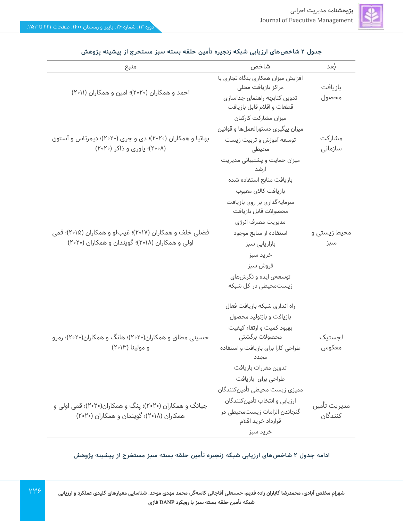| منبع                                                                                     | شاخص                                                      | بَعد                    |
|------------------------------------------------------------------------------------------|-----------------------------------------------------------|-------------------------|
|                                                                                          | افزایش میزان همکاری بنگاه تجاری با<br>مراكز بازيافت محلى  | بازيافت                 |
| احمد و همکاران (۲۰۲۰)؛ امین و همکاران (۲۰۱۱)                                             | تدوین کتابچه راهنمای جداسازی<br>قطعات واقلام قابل بازيافت | محصول                   |
|                                                                                          | میزان مشارکت کارکنان                                      |                         |
|                                                                                          | میزان پیگیری دستورالعملها و قوانین                        |                         |
| بهاتیا و همکاران (۲۰۲۰)؛ دی و جری (۲۰۲۰)؛ دیمرتاس و آستون<br>(۲۰۰۸)؛ یاوری و ذاکر (۲۰۲۰) | توسعه آموزش و تربیت زیست<br>محيطى                         | مشاركت<br>سازمانى       |
|                                                                                          | میزان حمایت و پشتیبانی مدیریت<br>ارشد                     |                         |
|                                                                                          | بازيافت منابع استفاده شده                                 |                         |
|                                                                                          | بازيافت كالاى معيوب                                       |                         |
|                                                                                          | سرمایهگذاری بر روی بازیافت<br>محصولات قابل بازيافت        |                         |
|                                                                                          | مدیریت مصرف انرژی                                         |                         |
| فضلی خلف و همکاران (۲۰۱۷)؛ غیبلو و همکاران (۲۰۱۵)؛ قمی                                   | استفاده از منابع موجود                                    | محیط زیستی و            |
| اولی و همکاران (۲۰۱۸)؛ گویندان و همکاران (۲۰۲۰)                                          | بازاریابی سبز                                             | سبز                     |
|                                                                                          | خريد سبز                                                  |                         |
|                                                                                          | فروش سبز                                                  |                         |
|                                                                                          | توسعهی ایده و نگرشهای                                     |                         |
|                                                                                          | زیستمحیطی در کل شبکه                                      |                         |
|                                                                                          | راه اندازی شبکه بازیافت فعال                              |                         |
|                                                                                          | بازیافت و بازتولید محصول                                  |                         |
|                                                                                          | بهبود کمیت و ارتقاء کیفیت                                 |                         |
| حسینی مطلق و همکاران(۲۰۲۰)؛ هانگ و همکاران(۲۰۲۰)؛ رمرو                                   | محصولات برگشتی                                            | لجستيک                  |
| و مولينا (٢٠١٣)                                                                          | طراحی کارا برای بازیافت و استفاده<br>مجدد                 | معكوس                   |
|                                                                                          | تدوين مقررات بازيافت                                      |                         |
|                                                                                          | طراحی برای بازیافت                                        |                         |
|                                                                                          | مميزى زيست محيطى تأمينكنندگان                             |                         |
| جیانگ و همکاران (۲۰۲۰)؛ پنگ و همکاران(۲۰۲۰)؛ قمی اولی و                                  | ارزيابى و انتخاب تأمينكنندگان                             |                         |
| همکاران (۲۰۱۸)؛ گویندان و همکاران (۲۰۲۰)                                                 | گنجاندن الزامات زیستمحیطی در<br>قرارداد خريد اقلام        | مديريت تأمين<br>كنندگان |
|                                                                                          | خريد سبز                                                  |                         |

### **جدول 2 شاخص های ارزیابی شبکه زنجیره تأمین حلقه بسته سبز مستخرج از پیشینه پژوهش**

**ادامه جدول 2 شاخص های ارزیابی شبکه زنجیره تأمین حلقه بسته سبز مستخرج از پیشینه پژوهش** 

**شهرام مخلص آبادی، محمدرضا کاباران زاده قدیم، حسنعلی آقاجانی کاسه گر، محمد مهدی موحد. شناسایی معیارهای کلیدی عملکرد و ارزیابی شبکه تأمین حلقه بسته سبز با رویکرد DANP فازی**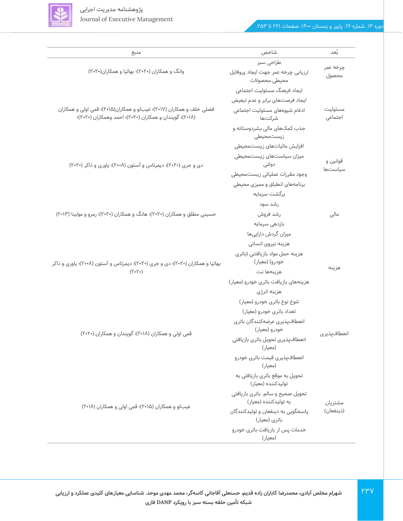

| منبع                                                                                                                            | شاخص                                                      | ئعد                 |
|---------------------------------------------------------------------------------------------------------------------------------|-----------------------------------------------------------|---------------------|
|                                                                                                                                 | طراحی سبز                                                 |                     |
| وانگ و همکاران (۲۰۲۰)؛ بهاتیا و همکاران(۲۰۲۰)                                                                                   | ارزیابی چرخه عمر جهت ایجاد پروفایل<br>محيطى محصولات       | چرخه عمر<br>محصول   |
|                                                                                                                                 | ایجاد فرهنگ مسئولیت اجتماعی                               |                     |
|                                                                                                                                 | ایجاد فرصتهای برابر و عدم تبعیض                           |                     |
| فضلی خلف و همکاران (۲۰۱۷)؛ غیبلو و همکاران(۲۰۱۵)؛ قمی اولی و همکاران<br>(۲۰۱۸)؛ گویندان و همکاران (۲۰۲۰)؛ احمد وهمکاران (۲۰۲۰)؛ | ادغام شیوههای مسئولیت اجتماعی<br>شركتها                   | مسئوليت<br>اجتماعى  |
|                                                                                                                                 | جذب کمکهای مالی بشردوستانه و<br>زيستمحيطى                 |                     |
|                                                                                                                                 | افزایش مالیاتهای زیستمحیطی                                |                     |
|                                                                                                                                 | میزان سیاستهای زیستمحیطی                                  |                     |
| دی و جری (۲۰۲۰)؛ دیمرتاس و آستون (۲۰۰۸)؛ یاوری و ذاکر (۲۰۲۰)                                                                    | دولتى                                                     | قوانين و<br>سياستها |
|                                                                                                                                 | وجود مقررات عملياتى زيستمحيطى                             |                     |
|                                                                                                                                 | برنامههای انطباق و ممیزی محیطی                            |                     |
|                                                                                                                                 | برگشت سرمایه                                              |                     |
|                                                                                                                                 | رشد سود                                                   |                     |
| حسینی مطلق و همکاران (۲۰۲۰)؛ هانگ و همکاران (۲۰۲۰)؛ رمرو و مولینا (۲۰۱۳)                                                        | رشد فروش                                                  | مالی                |
|                                                                                                                                 | بازدهى سرمايه                                             |                     |
|                                                                                                                                 | میزان گردش داراییها                                       |                     |
|                                                                                                                                 | هزینه نیروی انسانی                                        |                     |
|                                                                                                                                 | هزینه حمل مواد بازیافتنی (باتری                           |                     |
| بهاتیا و همکاران (۲۰۲۰)؛ دی و جری (۲۰۲۰)؛ دیمرتاس و آستون (۲۰۰۸)؛ یاوری و ذاکر                                                  | خودرو) (معیار)                                            |                     |
| $(Y \circ Y \circ)$                                                                                                             | هزينهها نت                                                | هزينه               |
|                                                                                                                                 | هزینههای بازیافت باتری خودرو (معیار)                      |                     |
|                                                                                                                                 | هزینه انرژی                                               |                     |
|                                                                                                                                 | تنوع نوع باتری خودرو (معیار)                              |                     |
|                                                                                                                                 | تعداد باتری خودرو (معیار)                                 |                     |
|                                                                                                                                 | انعطافپذیری عرضهکنندگان باتری                             |                     |
| قمی اولی و همکاران (۲۰۱۸)؛ گویندان و همکاران (۲۰۲۰)                                                                             | خودرو (معیار)                                             | انعطافپذیری         |
|                                                                                                                                 | انعطافپذیری تحویل باتری بازیافتی<br>(معیار)               |                     |
|                                                                                                                                 | انعطافپذیری قیمت باتری خودرو<br>(معيار)                   |                     |
|                                                                                                                                 | تحویل به موقع باتری بازیافتی به<br>تولیدکننده (معیار)     |                     |
|                                                                                                                                 | تحويل صحيح و سالم باترى بازيافتى<br>به تولیدکننده (معیار) | مشتريان             |
| غیبلو و همکاران (۲۰۱۵)؛ قمی اولی و همکاران (۲۰۱۸)                                                                               | ياسخگويى به ذينفعان و توليدكنندگان<br>باتری (معیار)       | (ذينفعان)           |
|                                                                                                                                 | خدمات پس از بازیافت باتری خودرو<br>(معیار)                |                     |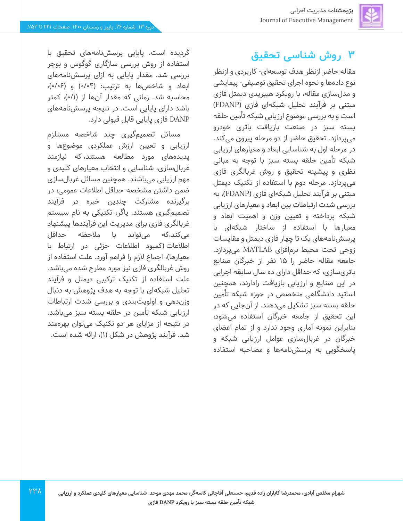## **3 روش شناسی تحقیق**

مقاله حاضر ازنظر هدف توسعهای- کاربردی و ازنظر نوع دادهها و نحوه اجرای تحقیق توصیفی- پیمایشی و مدل سازی مقاله، با رویکرد هیبریدی دیمتل فازی مبتنی بر فرآیند تحلیل شبکهای فازی )FDANP ) است و به بررسی موضوع ارزیابی شبکه تأمین حلقه بسته سبز در صنعت بازیافت باتری خودرو میپردازد. تحقیق حاضر از دو مرحله پیروی می کند. در مرحله اول به شناسایی ابعاد و معیارهای ارزیابی شبکه تأمین حلقه بسته سبز با توجه به مبانی نظری و پیشینه تحقیق و روش غربالگری فازی میپردازد. مرحله دوم با استفاده از تکنیک دیمتل مبتنی بر فرآیند تحلیل شبکهای فازی )FDANP)، به بررسی شدت ارتباطات بین ابعاد و معیارهای ارزیابی شبکه پرداخته و تعیین وزن و اهمیت ابعاد و معیارها با استفاده از ساختار شبکهای با پرسش نامههای یک تا چهار فازی دیمتل و مقایسات زوجی تحت محیط نرم افزای MATLAB می پردازد. جامعه مقاله حاضر را 15 نفر از خبرگان صنایع باتریسازی، که حداقل دارای ده سال سابقه اجرایی در این صنایع و ارزیابی بازیافت رادارند، همچنین اساتید دانشگاهی متخصص در حوزه شبکه تأمین حلقه بسته سبز تشکیل می دهند. از آن جایی که در این تحقیق از جامعه خبرگان استفاده می شود، بنابراین نمونه آماری وجود ندارد و از تمام اعضای خبرگان در غربال سازی عوامل ارزیابی شبکه و پاسخگویی به پرسش نامهها و مصاحبه استفاده

گردیده است. پایایی پرسش نامههای تحقیق با استفاده از روش بررسی سازگاری گوگوس و بوچر بررسی شد. مقدار پایایی به ازای پرسش نامههای ابعاد و شاخصها به ترتیب: (۰/۰۴) و (۰/۰۶)، محاسبه شد. زمانی که مقدار آنها از (۰/۱)، کمتر باشد دارای پایایی است. در نتیجه پرسش نامههای DANP فازی پایایی قابل قبولی دارد.

مسائل تصمیم گیری چند شاخصه مستلزم ارزیابی و تعیین ارزش عملکردی موضوعها و پدیده های مورد مطالعه هستند، که نیازمند غربال سازی، شناسایی و انتخاب معیارهای کلیدی و مهم ارزیابی می باشند. همچنین مسائل غربال سازی ضمن داشتن مشخصه حداقل اطالعات عمومی، در برگیرنده مشارکت چندین خبره در فرآیند تصمیمگیری هستند. یاگر، تکنیکی به نام سیستم غربالگری فازی برای مدیریت این فرآیندها پیشنهاد میکند،که می تواند با مالحظه حداقل اطلاعات (کمبود اطلاعات جزئی در ارتباط با معیارها)، اجماع لازم را فراهم آورد. علت استفاده از روش غربالگری فازی نیز مورد مطرح شده می باشد. علت استفاده از تکنیک ترکیبی دیمتل و فرآیند تحلیل شبکهای با توجه به هدف پژوهش به دنبال وزن دهی و اولویت بندی و بررسی شدت ارتباطات ارزیابی شبکه تأمین در حلقه بسته سبز می باشد. در نتیجه از مزایای هر دو تکنیک میتوان بهرهمند شد. فرآیند پژوهش در شکل (۱)، ارائه شده است.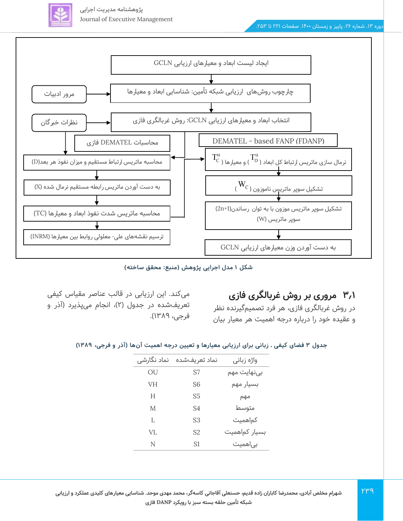

پژوهشنامه مدیریت اجرایی Journal of Executive Management



**شکل 1 مدل اجرایی پژوهش )منبع: محقق ساخته(** 

**3.1 مروری بر روش غربالگری فازی** 

در روش غربالگری فازی، هر فرد تصمیم گیرنده نظر و عقیده خود را درباره درجه اهمیت هر معیار بیان

میکند. این ارزیابی در قالب عناصر مقیاس کیفی تعریفشده در جدول (۲)، انجام میپذیرد (آذر و فرجی، 13۸9(.

**جدول 3 فضای کیفی ـ زبانی برای ارزیابی معیارها و تعیین درجه اهمیت آن ها )آذر و فرجی، 1389(** 

| نماد نگارشی | نماد تعريفشده  | واژه زبانی    |
|-------------|----------------|---------------|
| OU          | S7             | بینهایت مهم   |
| VH          | S6             | بسيار مهم     |
| Н           | S5             | مهم           |
| M           | S4             | متوسط         |
| L           | S3             | کماهمیت       |
| VL          | S <sub>2</sub> | بسیار کماهمیت |
| N           | S <sub>1</sub> | بی همیت       |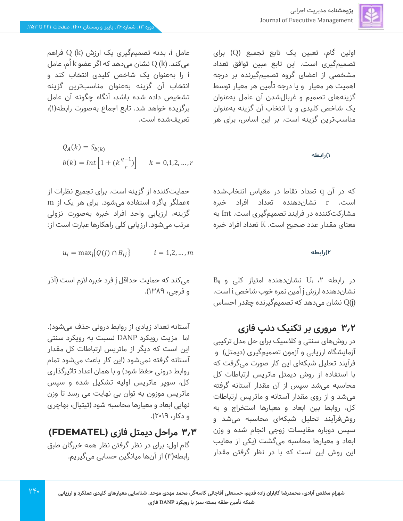اولین گام، تعیین یک تابع تجمیع )Q )برای تصمیمگیری است. این تابع مبین توافق تعداد مشخصی از اعضای گروه تصمیمگیرنده بر درجه اهمیت هر معیار و یا درجه تأمین هر معیار توسط گزینههای تصمیم و غربال شدن آن عامل بهعنوان یک شاخص کلیدی و یا انتخاب آن گزینه به عنوان مناسبترین گزینه است. بر این اساس، برای هر

### **1( رابطه**

که در آن q تعداد نقاط در مقیاس انتخاب شده است. r نشان دهنده تعداد افراد خبره مشارکت کننده در فرایند تصمیمگیری است. Int به معنای مقدار عدد صحیح است. K تعداد افراد خبره

 $B_{ij}$ در رابطه ۲، U<sub>i</sub> نشان دهنده امتیاز کلی و نشان دهنده ارزش j ا ُمین نمره خوب شاخص i است. (j) نشان می دهد که تصمیمگیرنده چقدر احساس  $Q(j)$ 

## **3.2 مروری بر تکنیک دنپ فازی**

در روش های سنتی و کالسیک برای حل مدل ترکیبی آزمایشگاه ارزیابی و آزمون تصمیمگیری )دیمتل( و فرآیند تحلیل شبکه ای این کار صورت می گرفت که با استفاده از روش دیمتل ماتریس ارتباطات کل محاسبه می شد سپس از آن مقدار آستانه گرفته میشد و از روی مقدار آستانه و ماتریس ارتباطات کل، روابط بین ابعاد و معیارها استخراج و به روشفرآیند تحلیل شبکهای محاسبه میشد و سپس دوباره مقایسات زوجی انجام شده و وزن ابعاد و معیارها محاسبه می گشت )یکی از معایب این روش این است که با در نظر گرفتن مقدار

عامل i، بدنه تصمیمگیری یک ارزش (k (Q فراهم میکند.  ${\rm Q}$  (k) نشان می دهد که اگر عضو k اُم، عامل i را به عنوان یک شاخص کلیدی انتخاب کند و انتخاب آن گزینه به عنوان مناسبترین گزینه تشخیص داده شده باشد، آنگاه چگونه آن عامل برگزیده خواهد شد. تابع اجماع بهصورت رابطه)1(، تعریفشده است.

$$
Q_A(k) = S_{b(k)}
$$
  

$$
b(k) = Int \left[ 1 + (k \frac{q-1}{r}) \right] \qquad k = 0, 1, 2, ..., r
$$

حمایت کننده از گزینه است. برای تجمیع نظر ات از «عملگر یاگر» استفاده می شود. برای هر یک از m گزینه، ارزیابی واحد افراد خبره به صورت نزولی مرتب می شود. ارزیابی کلی راهکارها عبارت است از:

$$
u_i = \max_j \{Q(j) \cap B_{ij}\} \qquad \qquad i = 1, 2, ..., m
$$
 (7)

میکند که حمایت حداقل j فرد خبره الزم است )آذر و فرجی، 1389(.

آستانه تعداد زیادی از روابط درونی حذف می شود(. اما مزیت رویکرد DANP نسبت به رویکرد سنتی این است که دیگر از ماتریس ارتباطات کل مقدار آستانه گرفته نمی شود )این کار باعث می شود تمام روابط درونی حفظ شود) و با همان اعداد تاثیرگذاری کل، سوپر ماتریس اولیه تشکیل شده و سپس ماتریس موزون به توان بی نهایت می رسد تا وزن نهایی ابعاد و معیارها محاسبه شود )تیتیال، بهاچری و دکار، 2019(.

## **3.3 مراحل دیمتل فازی )FDEMATEL )** گام اول: برای در نظر گرفتن نظر همه خبرگان طبق رابطه)3( از آن ها میانگین حسابی می گیریم.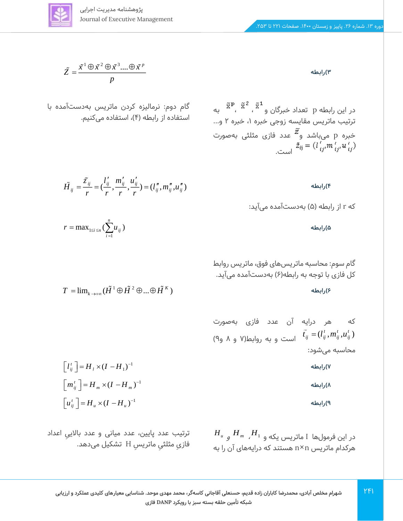$$
\underline{\underline{\underline{\xi}}}
$$

$$
\widetilde{Z} = \frac{\widetilde{x}^1 \oplus \widetilde{x}^2 \oplus \widetilde{x}^3 .... \oplus \widetilde{x}^p}{p}
$$

گام دوم: نرمالیزه کردن ماتریس بهدست آمده با استفاده از رابطه (۴)، استفاده می *ک*نیم.

$$
\tilde{H}_{ij} = \frac{\tilde{z}_{ij}}{r} = \left(\frac{l'_{ij}}{r}, \frac{m'_{ij}}{r}, \frac{u'_{ij}}{r}\right) = \left(l''_{ij}, m''_{ij}, u''_{ij}\right)
$$
\n(F

1

 $T = \lim_{k \to +\infty} (\tilde{H}^1 \oplus \tilde{H}^2 \oplus ... \oplus \tilde{H}^K)$ 

که r از رابطه )5( به دست آمده می آید:

در این رابطه p تعداد خبرگان و  $\widetilde{\mathbf{x}}^{\, \mathbf{p}}$  ،  $\widetilde{\mathbf{x}}^{\, \mathbf{p}}$  به

ترتیب ماتریس مقایسه زوجی خبره ۱، خبره ۲ و...

خبره p میباشد و $\widetilde{\tilde{z}}$  عدد فازی مثلثی بهصورت

 **5( رابطه** 

گام سوم: محاسبه ماتریس های فوق، ماتریس روابط کل فازی با توجه به رابطه)6( به دست آمده میآید.

 **6( رابطه** 

که هر درایه آن عدد فازی بهصورت  
\n
$$
\tilde{t}_{ij} = (l_{ij}^t, m_{ij}^t, u_{ij}^t)
$$
و ۸ و۹)

 **7( رابطه** 

 **8( رابطه** 

 **9( رابطه** 

$$
H_u
$$
 در این فرمولها I ماتریس یکه و ی $H_{m}$  ہ $H_{u}$  و سا

1  $\left[ l_{ij}^t \right] = H_l \times (I - H_l)^{-1}$  $\left[ m_{ij}^t \right] = H_m \times (I - H_m)^{-1}$  $\left[ u_{ij}^t \right] = H_u \times (I - H_u)^{-1}$ 

1

 $r = \max_{1 \le i \le n} (\sum u$ 

 $\max_{1 \le i \le n} (\sum_{i=1}^{n} u_{ii})$  $i \leq n \sum_{i=1}^{\infty} a_i$ 

ترتیب عدد پایین، عدد میانی و عدد بالایی اعداد ِ فازیِ مثلثیِ ماتریسِ H تشکیل میدهد. ِ  **3( رابطه** 

 $\tilde{z}_{ij} = (l_{ij}^{\ell} m_{ij^{\prime}}^{\ell} u_{ij^{\prime}}^{\ell})$ است.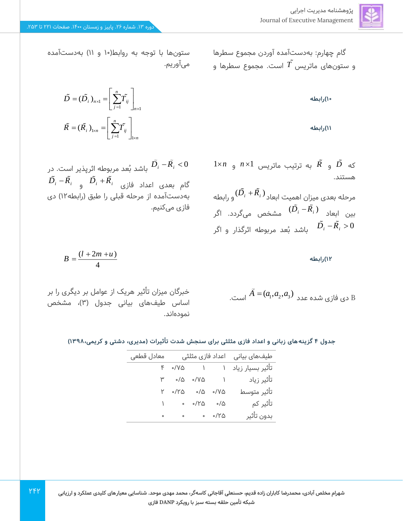گام چهارم: به دست آمده آوردن مجموع سطرها *T* است. مجموع سطرها و و ستونهای ماتریس

 **10( رابطه** 

 **11( رابطه** 

 $1\times n$  و  $\bar{R}$  به ترتیب ماتریس  $n\times 1$  و  $\bar{D}$ هستند.

 $(D_i+R_i)$ و رابطه  $(D_i+R_i)$ بین ابعاد ( ) *<sup>D</sup> <sup>R</sup> <sup>i</sup> <sup>i</sup>* <sup>−</sup> مشخص می گردد. اگر باشد بُعد مربوطه اثرگذار و اگر  $D_i$  – $R_i > 0$ 

1 2 3 B دی فازی شده عدد *A <sup>a</sup> <sup>a</sup> <sup>a</sup>* <sup>=</sup> ( , , ) است.

ستونها با توجه به روابط(١٠ و ١١) به دستآمده میآوریم.

$$
\tilde{D} = (\tilde{D}_i)_{n \times 1} = \left[ \sum_{j=1}^n \tilde{T}_{ij} \right]_{n \times 1}
$$

$$
\tilde{R} = (\tilde{R}_i)_{1 \times n} = \left[ \sum_{j=1}^n \tilde{T}_{ij} \right]_{1 \times n}
$$

0 *<sup>D</sup> <sup>R</sup> <sup>i</sup> <sup>i</sup>* <sup>−</sup> باشد ب ُعد مربوطه اثرپذیر است. در  $D_i$  – $R_i$  و  $D_i$  + $R_i$  و  $\epsilon$  alc alc  $i$ بهدست آمده از مرحله قبلی را طبق )رابطه12( دی فازی می کنیم.

$$
B=\frac{(l+2m+u)}{4}
$$

٢۴٢

خبرگان میزان تأثیر هریک از عوامل بر دیگری را بر اساس طیفهای بیانی جدول (۳)، مشخص نموده اند.

|  | جدول ۴ گزینههای زبانی و اعداد فازی مثلثی برای سنجش شدت تأثیرات (مدیری، دشتی و کریمی،۱۳۹۸) |  |
|--|-------------------------------------------------------------------------------------------|--|
|  |                                                                                           |  |

| تأثير بسيار زياد ١     ١       ٨٧٥   ٢<br>۳<br>تأثير متوسط<br>$Y \circ Y \circ \phi$ of $Y \circ Y \circ \phi$<br>تأثير كم<br>$\circ$ $\circ$ /۲۵<br>ం/ద<br>بدون تأثير<br>。  。。/Y۵<br>$\circ$ | معادل قطعی |  | طیفھای بیانی لعداد فازی مثلثی |
|-----------------------------------------------------------------------------------------------------------------------------------------------------------------------------------------------|------------|--|-------------------------------|
|                                                                                                                                                                                               |            |  |                               |
|                                                                                                                                                                                               |            |  |                               |
|                                                                                                                                                                                               |            |  |                               |
|                                                                                                                                                                                               |            |  |                               |
|                                                                                                                                                                                               |            |  |                               |



 **12( رابطه**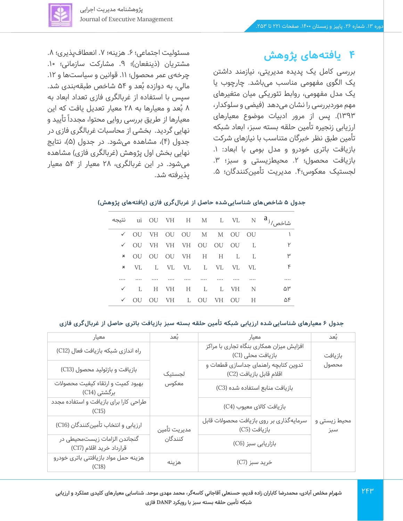

## **4 یافتههای پژوهش**

بررسی کامل یک پدیده مدیریتی، نیازمند داشتن یک الگوی مفهومی مناسب می باشد. چارچوب یا یک مدل مفهومی، روابط تئوریکی میان متغیرهای مهم موردبررسی را نشان می دهد )فیضی و سلوکدار، 1393(.پس از مرور ادبیات موضوع معیارهای ارزیابی زنجیره تأمین حلقه بسته سبز، ابعاد شبکه تأمین طبق نظر خبرگان متناسب با نیازهای شرکت بازیافت باتری خودرو و مدل بومی با ابعاد: .1 بازیافت محصول؛ ٢. محیطزیستی و سبز؛ ٣. لجستیک معکوس؛۴. مدیریت تأمینکنندگان؛ ۵.

مسئولیت اجتماعی؛ ۶. هزینه؛ ۷. انعطافپذیری؛ ۸. مشتریان (ذینفعان)؛ ۹. مشارکت سازمانی؛ ۱۰. چرخهی عمر محصول؛ ١١. قوانین و سیاستها و ١٢. مالی، به دوازده بُعد و ۵۴ شاخص طبقهبندی شد. سپس با استفاده از غربالگری فازی تعداد ابعاد به 8 ب ُعد و معیارها به 28 معیار تعدیل یافت که این معیارها از طریق بررسی روایی محتوا، مجددا تایید و نهایی گردید. بخشی از محاسبات غربالگری فازی در جدول (۴)، مشاهده میشود. در جدول (۵)، نتایج نهایی بخش اول پژوهش (غربالگری فازی) مشاهده میشود. در این غربالگری، 28 معیار از 54 معیار پذیرفته شد.

### **جدول 5 شاخص های شناسایی شده حاصل از غربال گری فازی )یافته های پژوهش(**

| نتيجه ui OU VH H M L VL N $a_{j}$ |                               |  |  |  |    |
|-----------------------------------|-------------------------------|--|--|--|----|
|                                   | V OU VH OU OU M M OU OU       |  |  |  |    |
|                                   | V OU VH VH VH OU OU OU        |  |  |  | ٢  |
|                                   | * OU OU OU VH H H L           |  |  |  | ۳  |
|                                   | * VL L VL VL L VL VL VL       |  |  |  | ۴  |
|                                   |                               |  |  |  |    |
|                                   | $\checkmark$ lh VH H L L VH N |  |  |  | ۵٣ |
|                                   | V OU OU VH L OU VH OU H       |  |  |  | ۵۴ |

### **جدول 6 معیارهای شناسایی شده ارزیابی شبکه تأمین حلقه بسته سبز بازیافت باتری حاصل از غربال گری فازی**

| معيار                                                    | بُعد         | معيار                                                           | بُعد                |
|----------------------------------------------------------|--------------|-----------------------------------------------------------------|---------------------|
| راه اندازی شبکه بازیافت فعال (C12)                       |              | افزایش میزان همکاری بنگاه تجاری با مراکز<br>بازیافت محلی (C1)   | بازيافت             |
| بازیافت و بازتولید محصول (C13)                           | لجستيک       | تدوین کتابچه راهنمای جداسازی قطعات و<br>اقلام قابل بازيافت (C2) | محصول               |
| بهبود كميت وارتقاء كيفيت محصولات<br>برگشتی (C14)         | معكوس        | بازیافت منابع استفاده شده (C3)                                  |                     |
| طراحی کارا برای بازیافت و استفاده مجدد<br>(C15)          |              | بازيافت كالاى معيوب (C4)                                        |                     |
| ارزیابی و انتخاب تأمینکنندگان (C16)                      | مديريت تأمين | سرمایهگذاری بر روی بازیافت محصولات قابل<br>بازيافت (C5)         | محیط زیستی و<br>سبز |
| گنجاندن الزامات زیستمحیطی در<br>قرارداد خرید اقلام (C17) | كنندگان      | بازاریابی سبز (C6)                                              |                     |
| هزینه حمل مواد بازیافتنی باتری خودرو                     | هزينه        | خريد سبز (C7)                                                   |                     |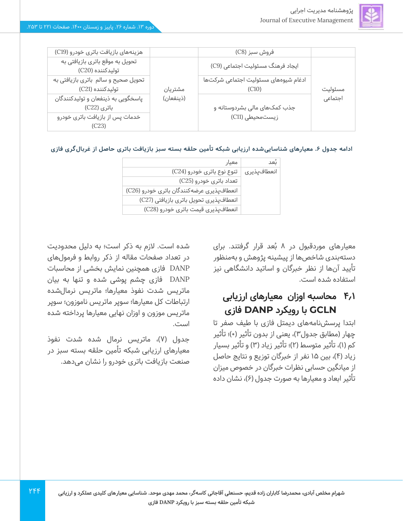

| هزینههای بازیافت باتری خودرو (C19)                      |           | فروش سبز (C8)                                 |         |
|---------------------------------------------------------|-----------|-----------------------------------------------|---------|
| تحویل به موقع باتری بازیافتی به<br>توليدكننده (C20)     |           | ایجاد فرهنگ مسئولیت اجتماعی (C9)              |         |
| تحویل صحیح و سالم باتری بازیافتی به<br>توليدكننده (C21) | مشتريان   | ادغام شیوههای مسئولیت اجتماعی شرکتها<br>(C10) | مسئوليت |
| پاسخگویی به ذینفعان و تولیدکنندگان<br>باتری (C22)       | (ذينفعان) | جذب کمکهای مالی بشردوستانه و                  | اجتماعى |
| خدمات پس از بازیافت باتری خودرو<br>(C23)                |           | زیستمحیطی (C11)                               |         |

**ادامه جدول .6 معیار های شناسایی شده ارزیابی شبکه تأمین حلقه بسته سبز بازیافت باتری حاصل از غربال گری فازی** 

| ىْعد        | معيار                                     |
|-------------|-------------------------------------------|
| انعطافپذیری | تنوع نوع باتری خودرو (C24)                |
|             | تعداد باتری خودرو (C25)                   |
|             | انعطافپذیری عرضهکنندگان باتری خودرو (C26) |
|             | انعطافپذیری تحویل باتری بازیافتی (C27)    |
|             | انعطافپذیری قیمت باتری خودرو (C28)        |

معیارهای موردقبول در ۸ بُعد قرار گرفتند. برای دستهبندی شاخص ها از پیشینه پژوهش و به منظور تأیید آن ها از نظر خبرگان و اساتید دانشگاهی نیز استفاده شده است.

## **4.1 محاسبه اوزان معیارهای ارزیابی GCLN با رویکرد DANP فازی**

ابتدا پرسش نامههای دیمتل فازی با طیف صفر تا چهار (مطابق جدول۳)، یعنی از بدون تأثیر (۰)؛ تأثیر کم (۱)، تأثیر متوسط (۲)؛ تأثیر زیاد (۳) و تأثیر بسیار زیاد )4(، بین 15 نفر از خبرگان توزیع و نتایج حاصل از میانگین حسابی نظرات خبرگان در خصوص میزان تأثیر ابعاد و معیارها به صورت جدول )6(، نشان داده

شده است. الزم به ذکر است؛ به دلیل محدودیت در تعداد صفحات مقاله از ذکر روابط و فرمول های DANP فازی همچنین نمایش بخشی از محاسبات DANP فازی چشم پوشی شده و تنها به بیان ماتریس شدت نفوذ معیارها؛ ماتریس نرمال شده ارتباطات کل معیارها؛ سوپر ماتریس ناموزون؛ سوپر ماتریس موزون و اوزان نهایی معیارها پرداخته شده است.

جدول (۷)، ماتریس نرمال شده شدت نفوذ معیارهای ارزیابی شبکه تأمین حلقه بسته سبز در صنعت بازیافت باتری خودرو را نشان می دهد.

 $YFF$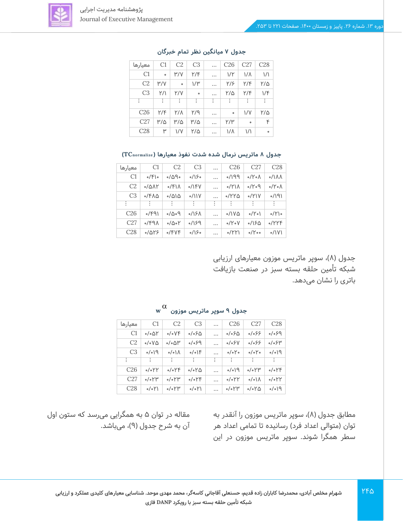

| معيارها         | C1        | C <sub>2</sub> | C <sub>3</sub> | $\cdots$ | C <sub>26</sub> | C27         | C28           |
|-----------------|-----------|----------------|----------------|----------|-----------------|-------------|---------------|
| C1              | $\bullet$ | $\mu/\lambda$  | ۲/۴            |          | 1/Y             | $1/\Lambda$ | $\frac{1}{2}$ |
| C <sub>2</sub>  | Y'        | $\circ$        | $1/\mu$        |          | ۲/۶             | Y/F         | ۲/۵           |
| C <sub>3</sub>  | ۲/۱       | Y/Y            | $\circ$        |          | ۲/۵             | Y/F         | 1/F           |
| ፡               | $\vdots$  | ÷              | $\vdots$       | ፡        | $\vdots$        | $\vdots$    | ÷             |
| C <sub>26</sub> | Y/F       | Y/A            | ۲/۹            |          | $\bullet$       | VV          | ۲/۵           |
| C27             | ۳/۵       | $M/\Omega$     | ۳/۵            |          | ۲/۳             | $\circ$     | ۴             |
| C28             | ۳         | VV             | ۲/۵            |          | $1/\Lambda$     | ۱/۱         | $\circ$       |
|                 |           |                |                |          |                 |             |               |

### **جدول 7 میانگین نظر تمام خبرگان**

### **جدول 8 ماتریس نرمال شده شدت نفوذ معیارها ) TCnormalize )**

| معيارها         | C1                | C2                                | C <sub>3</sub> | $\cdots$ | C <sub>26</sub>      | C27                         | C28                         |
|-----------------|-------------------|-----------------------------------|----------------|----------|----------------------|-----------------------------|-----------------------------|
| C1              | 0/F               | ۰/۵۹۰                             | 0/150          | $\cdots$ | P                    | $\circ$ /Y $\circ$ $\wedge$ | $\sqrt{\Lambda}$            |
| C2              | $0/\Delta\Lambda$ | 0/51                              | $0/1$ $FV$     | $\cdots$ | $0/Y\Lambda$         | $P \circ Y \circ P$         | $\circ$ /Y $\circ$ $\wedge$ |
| C <sub>3</sub>  | ٬/۴۸۵             | ۱۵۵–                              | $\frac{1}{2}$  | .        | 0/110                | 0/Y                         | $(P/\sqrt{e})$              |
| - 11            | ÷                 | ÷                                 | ÷              | ÷        | ÷                    | ÷                           | ÷                           |
| C <sub>26</sub> | 9/99              | $P \circ \Delta \backslash \circ$ | 0/15/          | .        | $\frac{1}{2}$        | o/Yo                        | 0/Y                         |
| C27             | 0/49              | $0/\Delta$ o $\Upsilon$           | P(1)           | $\cdots$ | $\circ$ /Y $\circ$ V | 0/150                       | 0/YYF                       |
| C28             | 0/019             | 0/FVF                             | 0/150          | $\cdots$ | 0/YY                 | $\circ$ /Yoo                | $\frac{1}{2}$               |

جدول (۸)، سوپر ماتریس موزون معیارهای ارزیابی شبکه تأمین حلقه بسته سبز در صنعت بازیافت باتری را نشان می دهد.

| معيارها         | C <sub>1</sub>                 | C2                         | C <sub>3</sub>   | $\cdots$ | C <sub>26</sub>            | C27                      | C <sub>28</sub>                 |
|-----------------|--------------------------------|----------------------------|------------------|----------|----------------------------|--------------------------|---------------------------------|
| C1              | ۱۵%∘/                          | $\circ/\circ \vee \nvDash$ | ۵/۰۶             | $\cdots$ | ۵/۰۶                       | $\circ/\circ$ $\circ$    | $\rho$ 90                       |
| C2              | $\circ/\circ \vee \triangle$   | $\circ/\circ\Delta$ ۳      | ۶۹%              | $\cdots$ | 0/05V                      | ۶۶ه/ه                    | ۶۳ه/ه                           |
| C <sub>3</sub>  | $P/\circ$                      | $\circ/\circ$ ) $\wedge$   | $\circ/\circ$  F | $\cdots$ | $\circ/\circ$ $\check{\ }$ | $\circ/\circ Y$          | $\rho/\circ$                    |
| ÷               | ÷                              | ÷                          | ÷                | ÷        | ÷                          | ÷                        | ÷                               |
| C <sub>26</sub> | $\circ$ / $\circ$ $\uparrow$ Y | 0/0                        | ۲۵٬۰۵            | $\cdots$ | $\rho/\circ$               | $\circ$ / $\circ$ ۲۳     | $\circ/\circ \uparrow \uparrow$ |
| C27             | $\circ$ / $\circ$ Y۳           | $\circ$ / $\circ$ Y۳       | 0/0              | $\cdots$ | $\circ$ / $\circ$ YY       | $\circ/\circ$ \ $\wedge$ | $\circ$ / $\circ$ ۲۲            |
| C28             | 0/0                            | $\circ$ / $\circ$ Y۳       | $\circ/\circ$ Y) | $\cdots$ | $\circ$ / $\circ$ Y۳       | ۲۵٬۰۵                    | $\rho/\circ$                    |

### **جدول 9 سوپر ماتریس موزون w**

مطابق جدول (۸)، سوپر ماتریس موزون را آنقدر به توان (متوالی اعداد فرد) رسانیده تا تمامی اعداد هر سطر همگرا شوند. سوپر ماتریس موزون در این

مقاله در توان 5 به همگرایی می رسد که ستون اول آن به شرح جدول (۹)، میباشد.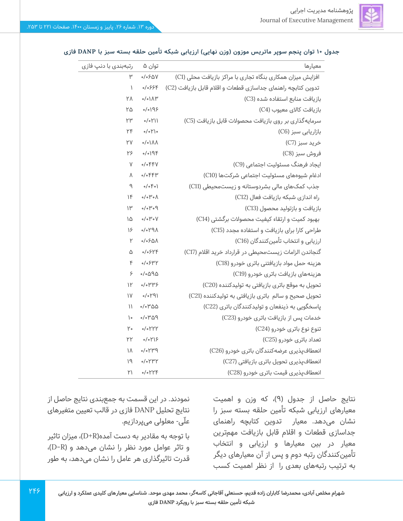

### **جدول 10 توان پنجم سوپر ماتریس موزون )وزن نهایی( ارزیابی شبکه تأمین حلقه بسته سبز با DANP فازی**

| رتبەبندى با دنپ فازى      | توان ۵                          | معيارها                                                      |
|---------------------------|---------------------------------|--------------------------------------------------------------|
| ۳                         | 0/050V                          | افزایش میزان همکاری بنگاه تجاری با مراکز بازیافت محلی (C1)   |
| $\mathcal{L}$             | 0/0999                          | تدوین کتابچه راهنمای جداسازی قطعات و اقلام قابل بازیافت (C2) |
| ۲Λ                        | 0/01                            | بازیافت منابع استفاده شده (C3)                               |
| ۲۵                        | 0/0195                          | بازيافت كالاي معيوب (C4)                                     |
| ٢٣                        | $0/0$ <sup>V</sup>              | سرمایهگذاری بر روی بازیافت محصولات قابل بازیافت (C5)         |
| ٢F                        | $o/o\uparrow$ )                 | بازاریابی سبز (C6)                                           |
| ٢V                        | $0/01/\lambda$                  | خريد سبز (C7)                                                |
| ۲۶                        | 0/019                           | فروش سبز (C8)                                                |
| V                         | $0/0$ FFV                       | ایجاد فرهنگ مسئولیت اجتماعی (C9)                             |
| Λ                         | $0/0$ $FP$                      | ادغام شیوههای مسئولیت اجتماعی شرکتها (C10)                   |
| ٩                         | $o/o$ $Po$                      | جذب کمکهای مالی بشردوستانه و زیستمحیطی (C11)                 |
| 1F                        | $\circ/\circ \mu \circ \Lambda$ | راه اندازی شبکه بازیافت فعال (C12)                           |
| $\mathsf{H}^{\mathsf{w}}$ | $P \circ \Psi \circ \Diamond$   | بازیافت و بازتولید محصول (C13)                               |
| ۱۵                        | $\circ/\circ \mu \circ \vee$    | بهبود کمیت و ارتقاء کیفیت محصولات برگشتی (C14)               |
| $\frac{1}{2}$             | APY                             | طراحی کارا برای بازیافت و استفاده مجدد (C15)                 |
| ٢                         | $0/050\Lambda$                  | ارزیابی و انتخاب تأمینکنندگان (C16)                          |
| ۵                         | 0/05YY                          | گنجاندن الزامات زیستمحیطی در قرارداد خرید اقلام (C17)        |
| $\kappa$                  | 0/05                            | هزینه حمل مواد بازیافتنی باتری خودرو (C18)                   |
| ۶                         | ۵۹۵%                            | هزینههای بازیافت باتری خودرو (C19)                           |
| $\mathcal{V}$             | $0/0$ ۳۳۶                       | تحویل به موقع باتری بازیافتی به تولیدکننده (C20)             |
| $\mathsf{N}$              | (1940)                          | تحویل صحیح و سالم باتری بازیافتی به تولیدکننده (C21)         |
| $\mathcal{L}$             | $0/0$ ۳۵۵                       | پاسخگویی به ذینفعان و تولیدکنندگان باتری (C22)               |
| $\mathcal{L}$             | PQ''                            | خدمات پس از بازیافت باتری خودرو (C23)                        |
| ۲۰                        | 0/0                             | تنوع نوع باتری خودرو (C24)                                   |
| ۲۲                        | 0/019                           | تعداد باتری خودرو (C25)                                      |
| ١٨                        | P''Y                            | انعطافپذیری عرضه کنندگان باتری خودرو (C26)                   |
| ۱۹                        | 0/0                             | انعطافیذیری تحویل باتری بازیافتی (C27)                       |
| ۲۱                        | 0/0                             | انعطافپذیری قیمت باتری خودرو (C28)                           |

نتایج حاصل از جدول )9(، که وزن و اهمیت معیارهای ارزیابی شبکه تأمین حلقه بسته سبز را نشان می دهد. معیار تدوین کتابچه راهنمای جداسازی قطعات و اقالم قابل بازیافت مهم ترین معیار در بین معیارها و ارزیابی و انتخاب تأمینکنندگان رتبه دوم و پس از آن معیارهای دیگر به ترتیب رتبههای بعدی را از نظر اهمیت کسب

نمودند. در این قسمت به جمع بندی نتایج حاصل از نتایج تحلیل DANP فازی در قالب تعیین متغیرهای علّی- معلولی می پردازیم.

با توجه به مقادیر به دست آمده(D+R)، میزان تاثیر و تاثر عوامل مورد نظر را نشان می دهد و ) R-D)، قدرت تاثیرگذاری هر عامل را نشان می دهد، به طور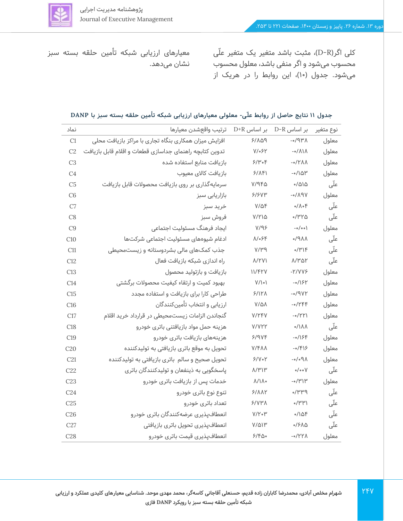

کلی اگر)R-D)، مثبت باشد متغیر یک متغیر علّی محسوب می شود و اگر منفی باشد، معلول محسوب میشود. جدول )10(، این روابط را در هریک از

معیارهای ارزیابی شبکه تأمین حلقه بسته سبز نشان می دهد.

### **جدول 11 نتایج حاصل از روابط عل ّی - معلولی معیارهای ارزیابی شبکه تأمین حلقه بسته سبز با DANP**

| نماد            | بر اساس D+R ترتيب واقعشدن معيارها                       |                                 | D-R بر اساس                                 | نوع متغير |
|-----------------|---------------------------------------------------------|---------------------------------|---------------------------------------------|-----------|
| C1              | افزایش میزان همکاری بنگاه تجاری با مراکز بازیافت محلی   | 91109                           | $A^{\mu}P$                                  | معلول     |
| C2              | تدوین کتابچه راهنمای جداسازی قطعات و اقلام قابل بازیافت | $V/\sim$ ۶۲                     | $-\circ/\Lambda\Lambda$                     | معلول     |
| C <sub>3</sub>  | بازيافت منابع استفاده شده                               | 9/4.6                           | $-0$ / $Y\Lambda\Lambda$                    | معلول     |
| C <sub>4</sub>  | بازيافت كالاى معيوب                                     | 5/AF                            | $-0/104$                                    | معلول     |
| C <sub>5</sub>  | سرمایهگذاری بر روی بازیافت محصولات قابل بازیافت         | $V/9F\Delta$                    | $\frac{1}{2}$                               | علّی      |
| C6              | بازاریابی سبز                                           | 9/9VW                           | $VPA\$                                      | معلول     |
| C7              | خريد سبز                                                | $V/\Delta F$                    | $0/\Lambda$ of                              | علّی      |
| C8              | فروش سبز                                                | $V/Y$ ۱۵                        | ۲۳۲۵-                                       | علّی      |
| C9              | ایجاد فرهنگ مسئولیت اجتماعی                             | Y/95                            | $-o/o$ o                                    | معلول     |
| C10             | ادغام شیوههای مسئولیت اجتماعی شرکتها                    | ۸/۰۶۴                           | $\Lambda$ A $\mathsf{P}\setminus\mathsf{o}$ | علّی      |
| C11             | جذب کمکهای مالی بشردوستانه و زیستمحیطی                  | P''                             | $\circ$ /۳۱۴                                | علّی      |
| C12             | راه اندازی شبکه بازیافت فعال                            | $\Lambda$ /YV)                  | $\Lambda$ /۳۵۲                              | علّی      |
| C13             | بازیافت و بازتولید محصول                                | 11/FYY                          | $-Y/VP$                                     | معلول     |
| C14             | بهبود کمیت و ارتقاء کیفیت محصولات برگشتی                | $V/\backslash \circ \backslash$ | -0/184                                      | معلول     |
| C15             | طراحی کارا برای بازیافت و استفاده مجدد                  | $5/15\Lambda$                   | $-0/9VY$                                    | معلول     |
| C16             | ارزيابى و انتخاب تأمينكنندگان                           | $V/\Delta\Lambda$               | $-0/YPF$                                    | معلول     |
| C17             | گنجاندن الزامات زیستمحیطی در قرارداد خرید اقلام         | V/YFV                           | -0/۲۲۱                                      | معلول     |
| C18             | هزینه حمل مواد بازیافتنی باتری خودرو                    | V/VYY                           | 0/1 <sub>A</sub>                            | علّی      |
| C19             | هزینههای بازیافت باتری خودرو                            | ۶/۹۷۴                           | -0/18۴                                      | معلول     |
| C <sub>20</sub> | تحویل به موقع باتری بازیافتی به تولیدکننده              | V/FAA                           | $-0$ /FIS                                   | معلول     |
| C21             | تحویل صحیح و سالم باتری بازیافتی به تولیدکننده          | 9/80                            | $APo$ /0-                                   | معلول     |
| C22             | پاسخگویی به ذینفعان و تولیدکنندگان باتری                | ۸/۳۱۳                           | $\circ/\circ \circ V$                       | علّی      |
| C <sub>23</sub> | خدمات پس از بازیافت باتری خودرو                         | $\Lambda/\Lambda$               | $-0/4$                                      | معلول     |
| C <sub>24</sub> | تنوع نوع باترى خودرو                                    | ۶/۸۸۲                           | ۳۳۳۹,                                       | علّی      |
| C <sub>25</sub> | تعداد باترى خودرو                                       | ۶/۷۳۸                           | $\mathcal{M}^{\mu}$                         | علّی      |
| C <sub>26</sub> | انعطافپذیری عرضهکنندگان باتری خودرو                     | $V/Y \circ Y'$                  | 0/10F                                       | علّی      |
| C27             | انعطافپذیری تحویل باتری بازیافتی                        | ۷/۵۱۳                           | 0/510                                       | علّی      |
| C28             | انعطافپذیری قیمت باتری خودرو                            | 5/60                            | -0/۲۲۸                                      | معلول     |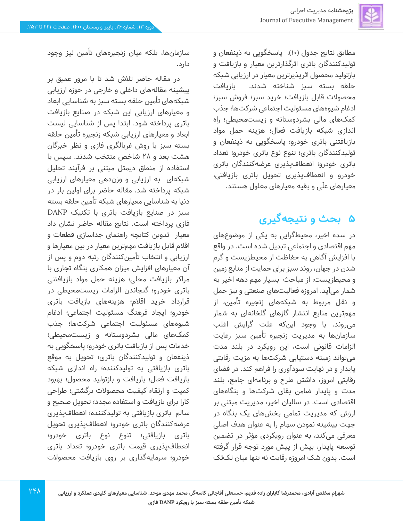مطابق نتایج جدول (١٠)، پاسخگویی به ذینفعان و تولیدکنندگان باتری اثرگذارترین معیار و بازیافت و بازتولید محصول اثرپذیرترین معیار در ارزیابی شبکه حلقه بسته سبز شناخته شدند. بازیافت محصوالت قابل بازیافت؛ خرید سبز؛ فروش سبز؛ ادغام شیوه های مسئولیت اجتماعی شرکت ها؛ جذب کمک های مالی بشردوستانه و زیست محیطی؛ راه اندازی شبکه بازیافت فعال؛ هزینه حمل مواد بازیافتنی باتری خودرو؛ پاسخگویی به ذینفعان و تولیدکنندگان باتری؛ تنوع نوع باتری خودرو؛ تعداد باتری خودرو؛ انعطافپذیری عرضه کنندگان باتری خودرو و انعطافپذیری تحویل باتری بازیافتی، معیارهای علّی و بقیه معیارهای معلول هستند.

## **5 بحث و نتیجهگیری**

در سده اخیر، محیطگرایی به یکی از موضوع های مهم اقتصادی و اجتماعی تبدیل شده است. در واقع با افزایش آگاهی به حفاظت از محیطزیست و گرم شدن در جهان، روند سبز برای حمایت از منابع زمین و محیطزیست، از مباحث بسیار مهم دهه اخیر به شمار می آید. امروزه فعالیت های صنعتی و نیز حمل و نقل مربوط به شبکههای زنجیره تأمین، از مهمترین منابع انتشار گازهای گلخانه ای به شمار میروند. با وجود این که علت گرایش اغلب سازمانها به مدیریت زنجیره تأمین سبز رعایت الزامات قانونی است، این رویکرد در بلند مدت میتواند زمینه دستیابی شرکت ها به مزیت رقابتی پایدار و در نهایت سودآوری را فراهم کند. در فضای رقابتی امروز، داشتن طرح و برنامهای جامع، بلند مدت و پایدار ضامن بقای شرکت ها و بنگاه های اقتصادی است. در سالیان اخیر، مدیریت مبتنی بر ارزش که مدیریت تمامی بخش های یک بنگاه در جهت بیشینه نمودن سهام را به عنوان هدف اصلی معرفی می کند، به عنوان رویکردی مؤثر در تضمین توسعه پایدار، بیش از پیش مورد توجه قرار گرفته است. بدون شک امروزه رقابت نه تنها میان تک تک

سازمانها، بلکه میان زنجیرههای تأمین نیز وجود دارد.

در مقاله حاضر تالش شد تا با مرور عمیق بر پیشینه مقالههای داخلی و خارجی در حوزه ارزیابی شبکههای تأمین حلقه بسته سبز به شناسایی ابعاد و معیارهای ارزیابی این شبکه در صنایع بازیافت باتری پرداخته شود. ابتدا پس از شناسایی لیست ابعاد و معیارهای ارزیابی شبکه زنجیره تأمین حلقه بسته سبز با روش غربالگری فازی و نظر خبرگان هشت بعد و 2۸ شاخص منتخب شدند. سپس با استفاده از منطق دیمتل مبتنی بر فرآیند تحلیل شبکهای به ارزیابی و وزن دهی معیارهای ارزیابی شبکه پرداخته شد. مقاله حاضر برای اولین بار در دنیا به شناسایی معیارهای شبکه تأمین حلقه بسته سبز در صنایع بازیافت باتری با تکنیک DANP فازی پرداخته است. نتایج مقاله حاضر نشان داد معیار تدوین کتابچه راهنمای جداسازی قطعات و اقالم قابل بازیافت مهم ترین معیار در بین معیارها و ارزیابی و انتخاب تأمینکنندگان رتبه دوم و پس از آن معیارهای افزایش میزان همکاری بنگاه تجاری با مراکز بازیافت محلی؛ هزینه حمل مواد بازیافتنی باتری خودرو؛ گنجاندن الزامات زیست محیطی در قرارداد خرید اقالم؛ هزینههای بازیافت باتری خودرو؛ ایجاد فرهنگ مسئولیت اجتماعی؛ ادغام شیوههای مسئولیت اجتماعی شرکت ها؛ جذب کمک های مالی بشردوستانه و زیست محیطی؛ خدمات پس از بازیافت باتری خودرو؛ پاسخگویی به ذینفعان و تولیدکنندگان باتری؛ تحویل به موقع باتری بازیافتی به تولیدکننده؛ راه اندازی شبکه بازیافت فعال؛ بازیافت و بازتولید محصول؛ بهبود کمیت و ارتقاء کیفیت محصوالت برگشتی؛ طراحی کارا برای بازیافت و استفاده مجدد؛ تحویل صحیح و سالم باتری بازیافتی به تولیدکننده؛ انعطافپذیری عرضه کنندگان باتری خودرو؛ انعطافپذیری تحویل باتری بازیافتی؛ تنوع نوع باتری خودرو؛ انعطافپذیری قیمت باتری خودرو؛ تعداد باتری خودرو؛ سرمایه گذاری بر روی بازیافت محصوالت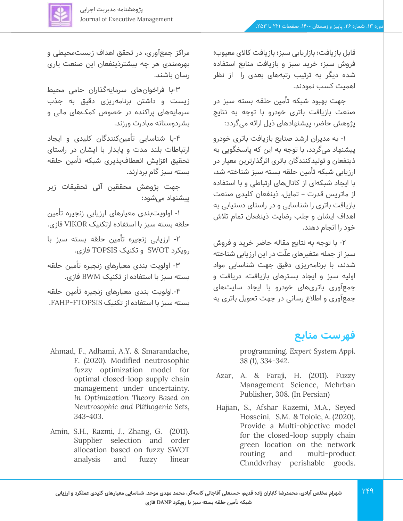

قابل بازیافت؛ بازاریابی سبز؛ بازیافت کاالی معیوب؛ فروش سبز؛ خرید سبز و بازیافت منابع استفاده شده دیگر به ترتیب رتبه های بعدی را از نظر اهمیت کسب نمودند.

جهت بهبود شبکه تأمین حلقه بسته سبز در صنعت بازیافت باتری خودرو با توجه به نتایج پژوهش حاضر، پیشنهادهای ذیل ارائه می گردد:

-1 به مدیران ارشد صنایع بازیافت باتری خودرو پیشنهاد می گردد، با توجه به این که پاسخگویی به ذینفعان و تولیدکنندگان باتری اثرگذارترین معیار در ارزیابی شبکه تأمین حلقه بسته سبز شناخته شد، با ایجاد شبکه ای از کانال های ارتباطی و با استفاده از ماتریس قدرت – تمایل، ذینفعان کلیدی صنعت بازیافت باتری را شناسایی و در راستای دستیابی به اهداف ایشان و جلب رضایت ذینفعان تمام تالش خود را انجام دهند.

-2 با توجه به نتایج مقاله حاضر خرید و فروش سبز از جمله متغیرهای علّت در این ارزیابی شناخته شدند، با برنامه ریزی دقیق جهت شناسایی مواد اولیه سبز و ایجاد بسترهای بازیافت، دریافت و جمع آوری باتریهای خودرو با ایجاد سایت های جمع آوری و اطالع رسانی در جهت تحویل باتری به

## **فهرست منابع**

programming. *Expert System Appl. 38 (1), 334-342*.

- Azar, A. & Faraji, H. (2011). Fuzzy Management Science, Mehrban Publisher, 308. (In Persian)
- Hajian, S., Afshar Kazemi, M.A., Seyed Hosseini, S.M. & Toloie, A. (2020). Provide a Multi-objective model for the closed-loop supply chain green location on the network routing and multi-product Chnddvrhay perishable goods.

مراکز جمع آوری، در تحقق اهداف زیست محیطی و بهره مندی هر چه بیشتر ذینفعان این صنعت یاری رسان باشند.

-3با فراخوان های سرمایهگذاران حامی محیط زیست و داشتن برنامهریزی دقیق به جذب سرمایههای پراکنده در خصوص کمک های مالی و بشردوستانه مبادرت ورزند.

-4با شناسایی تأمینکنندگان کلیدی و ایجاد ارتباطات بلند مدت و پایدار با ایشان در راستای تحقیق افزایش انعطاف پذیری شبکه تأمین حلقه بسته سبز گام بردارند.

جهت پژوهش محققین آتی تحقیقات زیر پیشنهاد می شود:

-1 اولویت بندی معیارهای ارزیابی زنجیره تأمین حلقه بسته سبز با استفاده ازتکنیک VIKOR فازی.

-2 ارزیابی زنجیره تأمین حلقه بسته سبز با رویکرد SWOT و تکنیک TOPSIS فازی.

-3 اولویت بندی معیارهای زنجیره تأمین حلقه بسته سبز با استفاده از تکنیک BWM فازی.

.-4اولویت بندی معیارهای زنجیره تأمین حلقه بسته سبز با استفاده از تکنیک FAHP-FTOPSIS.

- Ahmad, F., Adhami, A.Y. & Smarandache, F. (2020). Modified neutrosophic fuzzy optimization model for optimal closed-loop supply chain management under uncertainty. *In Optimization Theory Based on Neutrosophic and Plithogenic Sets, 343-403* .
- Amin, S.H., Razmi, J., Zhang, G. (2011). Supplier selection and order allocation based on fuzzy SWOT analysis and fuzzy linear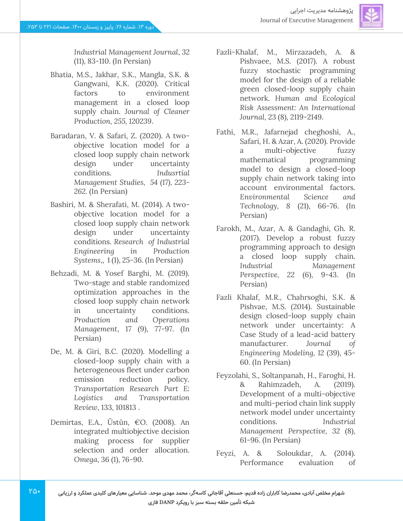

*Industrial Management Journal*, *32* (11), 83-110. (In Persian)

- Bhatia, M.S., Jakhar, S.K., Mangla, S.K. & Gangwani, K.K. (2020). Critical factors to environment management in a closed loop supply chain. *Journal of Cleaner Production, 255, 120239* .
- Baradaran, V. & Safari, Z. (2020). A twoobjective location model for a closed loop supply chain network design under uncertainty conditions. *Indusrtial Management Studies, 54 (17), 223- 262.* (In Persian)
- Bashiri, M. & Sherafati, M. (2014). A twoobjective location model for a closed loop supply chain network design under uncertainty conditions. *Research of Industrial Engineering in Production Systems*,, 1 (1), 25-36. (In Persian)
- Behzadi, M. & Yosef Barghi, M. (2019). Two-stage and stable randomized optimization approaches in the closed loop supply chain network in uncertainty conditions. *Production and Operations Management*, 17 (9), 77-97. (In Persian)
- De, M. & Giri, B.C. (2020). Modelling a closed-loop supply chain with a heterogeneous fleet under carbon emission reduction policy. *Transportation Research Part E: Logistics and Transportation Review*, 133, 101813 .
- Demirtas, E.A., Üstün, €O. (2008). An integrated multiobjective decision making process for supplier selection and order allocation. *Omega*, 36 (1), 76-90 .
- Fazli-Khalaf, M., Mirzazadeh, A. & Pishvaee, M.S. (2017). A robust fuzzy stochastic programming model for the design of a reliable green closed-loop supply chain network. *Human and Ecological Risk Assessment: An International Journal*, 23 (8), 2119-2149.
- Fathi, M.R., Jafarnejad cheghoshi, A., Safari, H. & Azar, A. (2020). Provide a multi-objective fuzzy mathematical programming model to design a closed-loop supply chain network taking into account environmental factors. *Environmental Science and Technology, 8* (21), 66-76. (In Persian)
- Farokh, M., Azar, A. & Gandaghi, Gh. R. (2017). Develop a robust fuzzy programming approach to design a closed loop supply chain. *Industrial Management Perspective, 22* (6), 9-43. (In Persian)
- Fazli Khalaf, M.R., Chahrsoghi, S.K. & Pishvae, M.S. (2014). Sustainable design closed-loop supply chain network under uncertainty: A Case Study of a lead-acid battery manufacturer. *Journal of Engineering Modeling, 12* (39), 45- 60. (In Persian)
- Feyzolahi, S., Soltanpanah, H., Faroghi, H. & Rahimzadeh, A. (2019). Development of a multi-objective and multi-period chain link supply network model under uncertainty conditions. *Industrial Management Perspective, 32* (8), 61-96. (In Persian)
- Feyzi, A. & Soloukdar, A. (2014). Performance evaluation of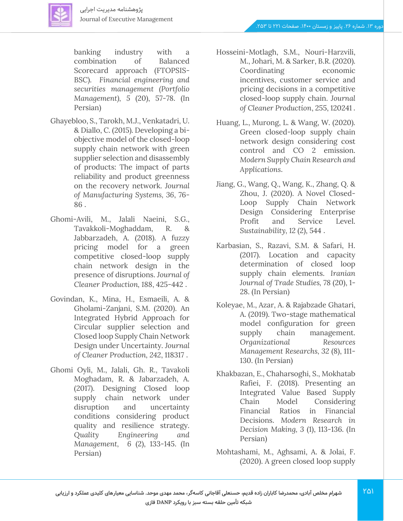banking industry with a combination of Balanced Scorecard approach (FTOPSIS-BSC). *Financial engineering and securities management (Portfolio Management), 5* (20), 57-78. (In Persian)

- Ghayebloo, S., Tarokh, M.J., Venkatadri, U. & Diallo, C. (2015). Developing a biobjective model of the closed-loop supply chain network with green supplier selection and disassembly of products: The impact of parts reliability and product greenness on the recovery network. *Journal of Manufacturing Systems, 36*, 76- 86 .
- Ghomi-Avili, M., Jalali Naeini, S.G., Tavakkoli-Moghaddam, R. & Jabbarzadeh, A. (2018). A fuzzy pricing model for a green competitive closed-loop supply chain network design in the presence of disruptions. *Journal of Cleaner Production, 188*, 425-442 .
- Govindan, K., Mina, H., Esmaeili, A. & Gholami-Zanjani, S.M. (2020). An Integrated Hybrid Approach for Circular supplier selection and Closed loop Supply Chain Network Design under Uncertainty. *Journal of Cleaner Production, 242*, 118317 .
- Ghomi Oyli, M., Jalali, Gh. R., Tavakoli Moghadam, R. & Jabarzadeh, A. (2017). Designing Closed loop supply chain network under disruption and uncertainty conditions considering product quality and resilience strategy. *Quality Engineering and Management, 6* (2), 133-145. (In Persian)
- Hosseini-Motlagh, S.M., Nouri-Harzvili, M., Johari, M. & Sarker, B.R. (2020). Coordinating economic incentives, customer service and pricing decisions in a competitive closed-loop supply chain. *Journal of Cleaner Production*, 255, 120241 .
- Huang, L., Murong, L. & Wang, W. (2020). Green closed-loop supply chain network design considering cost control and CO 2 emission. *Modern Supply Chain Research and Applications* .
- Jiang, G., Wang, Q., Wang, K., Zhang, Q. & Zhou, J. (2020). A Novel Closed-Loop Supply Chain Network Design Considering Enterprise Profit and Service Level. *Sustainability, 12* (2), 544 .
- Karbasian, S., Razavi, S.M. & Safari, H. (2017). Location and capacity determination of closed loop supply chain elements. *Iranian Journal of Trade Studies, 78* (20), 1- 28. (In Persian)
- Koleyae, M., Azar, A. & Rajabzade Ghatari, A. (2019). Two-stage mathematical model configuration for green supply chain management. *Organizational Resources Management Researchs, 32* (8), 111- 130. (In Persian)
- Khakbazan, E., Chaharsoghi, S., Mokhatab Rafiei, F. (2018). Presenting an Integrated Value Based Supply Chain Model Considering Financial Ratios in Financial Decisions. *Modern Research in Decision Making, 3* (1), 113-136. (In Persian)
- Mohtashami, M., Aghsami, A. & Jolai, F. (2020). A green closed loop supply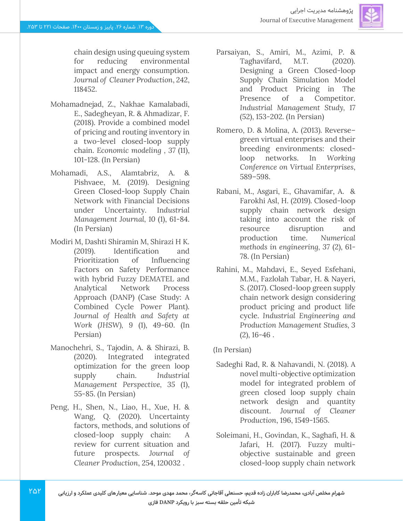

chain design using queuing system for reducing environmental impact and energy consumption. *Journal of Cleaner Production*, 242, 118452.

- Mohamadnejad, Z., Nakhae Kamalabadi, E., Sadegheyan, R. & Ahmadizar, F. (2018). Provide a combined model of pricing and routing inventory in a two-level closed-loop supply chain. *Economic modeling , 37* (11), 101-128. (In Persian)
- Mohamadi, A.S., Alamtabriz, A. & Pishvaee, M. (2019). Designing Green Closed-loop Supply Chain Network with Financial Decisions under Uncertainty. In*dustrial Management Journal, 10* (1), 61-84. (In Persian)
- Modiri M, Dashti Shiramin M, Shirazi H K. (2019). Identification and Prioritization of Influencing Factors on Safety Performance with hybrid Fuzzy DEMATEL and Analytical Network Process Approach (DANP) (Case Study: A Combined Cycle Power Plant). *Journal of Health and Safety at Work (JHSW), 9* (1), 49-60. (In Persian)
- Manochehri, S., Tajodin, A. & Shirazi, B. (2020). Integrated integrated optimization for the green loop supply chain. *Industrial Management Perspective, 35* (1), 55-85. (In Persian)
- Peng, H., Shen, N., Liao, H., Xue, H. & Wang, Q. (2020). Uncertainty factors, methods, and solutions of closed-loop supply chain: A review for current situation and future prospects. *Journal of Cleaner Production*, 254, 120032 .
- Parsaiyan, S., Amiri, M., Azimi, P. & Taghavifard, M.T. (2020). Designing a Green Closed-loop Supply Chain Simulation Model and Product Pricing in The Presence of a Competitor. *Industrial Management Study, 17* (52), 153-202. (In Persian)
- Romero, D. & Molina, A. (2013). Reverse– green virtual enterprises and their breeding environments: closedloop networks. In *Working Conference on Virtual Enterprises*, 589–598.
- Rabani, M., Asgari, E., Ghavamifar, A. & Farokhi Asl, H. (2019). Closed-loop supply chain network design taking into account the risk of resource disruption and production time. *Numerical methods in engineering, 37* (2), 61- 78. (In Persian)
- Rahini, M., Mahdavi, E., Seyed Esfehani, M.M., Fazlolah Tabar, H. & Nayeri, S. (2017). Closed-loop green supply chain network design considering product pricing and product life cycle. *Industrial Engineering and Production Management Studies, 3*  $(2)$ , 16-46.

### (In Persian)

- Sadeghi Rad, R. & Nahavandi, N. (2018). A novel multi-objective optimization model for integrated problem of green closed loop supply chain network design and quantity discount. *Journal of Cleaner Production*, 196, 1549-1565.
- Soleimani, H., Govindan, K., Saghafi, H. & Jafari, H. (2017). Fuzzy multiobjective sustainable and green closed-loop supply chain network
- **شهرام مخلص آبادی، محمدرضا کاباران زاده قدیم، حسنعلی آقاجانی کاسه گر، محمد مهدی موحد. شناسایی معیارهای کلیدی عملکرد و ارزیابی شبکه تأمین حلقه بسته سبز با رویکرد DANP فازی**